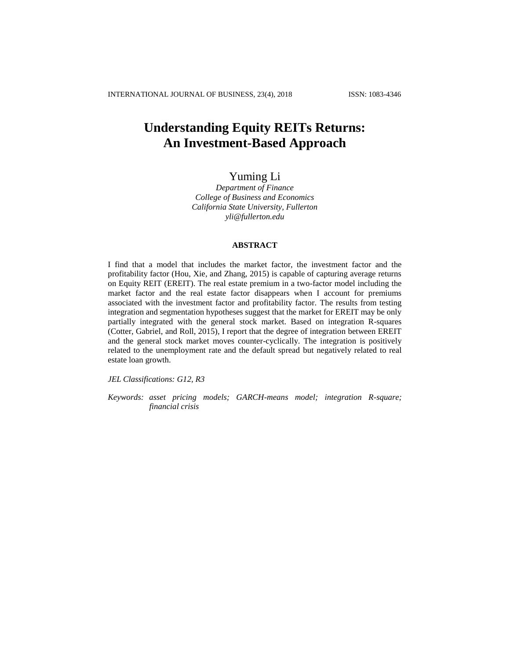# **Understanding Equity REITs Returns: An Investment-Based Approach**

## Yuming Li

*Department of Finance College of Business and Economics California State University, Fullerton yli@fullerton.edu*

### **ABSTRACT**

I find that a model that includes the market factor, the investment factor and the profitability factor (Hou, Xie, and Zhang, 2015) is capable of capturing average returns on Equity REIT (EREIT). The real estate premium in a two-factor model including the market factor and the real estate factor disappears when I account for premiums associated with the investment factor and profitability factor. The results from testing integration and segmentation hypotheses suggest that the market for EREIT may be only partially integrated with the general stock market. Based on integration R-squares (Cotter, Gabriel, and Roll, 2015), I report that the degree of integration between EREIT and the general stock market moves counter-cyclically. The integration is positively related to the unemployment rate and the default spread but negatively related to real estate loan growth.

*JEL Classifications: G12, R3*

*Keywords: asset pricing models; GARCH-means model; integration R-square; financial crisis*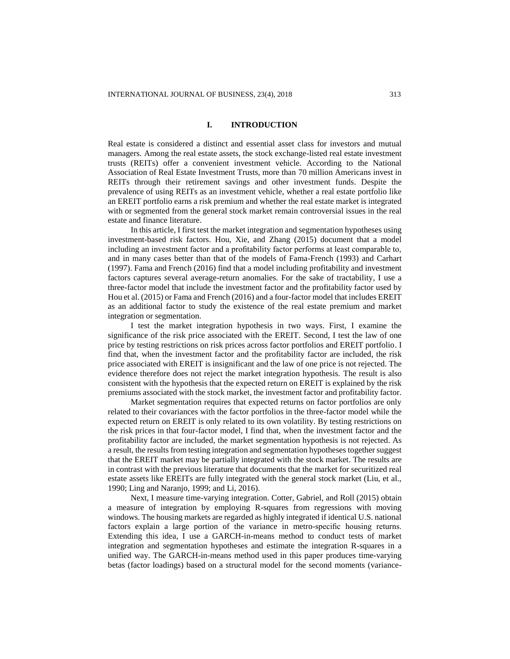### **I. INTRODUCTION**

Real estate is considered a distinct and essential asset class for investors and mutual managers. Among the real estate assets, the stock exchange-listed real estate investment trusts (REITs) offer a convenient investment vehicle. According to the National Association of Real Estate Investment Trusts, more than 70 million Americans invest in REITs through their retirement savings and other investment funds. Despite the prevalence of using REITs as an investment vehicle, whether a real estate portfolio like an EREIT portfolio earns a risk premium and whether the real estate market is integrated with or segmented from the general stock market remain controversial issues in the real estate and finance literature.

In this article, I first test the market integration and segmentation hypotheses using investment-based risk factors. Hou, Xie, and Zhang (2015) document that a model including an investment factor and a profitability factor performs at least comparable to, and in many cases better than that of the models of Fama-French (1993) and Carhart (1997). Fama and French (2016) find that a model including profitability and investment factors captures several average-return anomalies. For the sake of tractability, I use a three-factor model that include the investment factor and the profitability factor used by Hou et al. (2015) or Fama and French (2016) and a four-factor model that includes EREIT as an additional factor to study the existence of the real estate premium and market integration or segmentation.

I test the market integration hypothesis in two ways. First, I examine the significance of the risk price associated with the EREIT. Second, I test the law of one price by testing restrictions on risk prices across factor portfolios and EREIT portfolio. I find that, when the investment factor and the profitability factor are included, the risk price associated with EREIT is insignificant and the law of one price is not rejected. The evidence therefore does not reject the market integration hypothesis. The result is also consistent with the hypothesis that the expected return on EREIT is explained by the risk premiums associated with the stock market, the investment factor and profitability factor.

Market segmentation requires that expected returns on factor portfolios are only related to their covariances with the factor portfolios in the three-factor model while the expected return on EREIT is only related to its own volatility. By testing restrictions on the risk prices in that four-factor model, I find that, when the investment factor and the profitability factor are included, the market segmentation hypothesis is not rejected. As a result, the results from testing integration and segmentation hypotheses together suggest that the EREIT market may be partially integrated with the stock market. The results are in contrast with the previous literature that documents that the market for securitized real estate assets like EREITs are fully integrated with the general stock market (Liu, et al., 1990; Ling and Naranjo, 1999; and Li, 2016).

Next, I measure time-varying integration. Cotter, Gabriel, and Roll (2015) obtain a measure of integration by employing R-squares from regressions with moving windows. The housing markets are regarded as highly integrated if identical U.S. national factors explain a large portion of the variance in metro-specific housing returns. Extending this idea, I use a GARCH-in-means method to conduct tests of market integration and segmentation hypotheses and estimate the integration R-squares in a unified way. The GARCH-in-means method used in this paper produces time-varying betas (factor loadings) based on a structural model for the second moments (variance-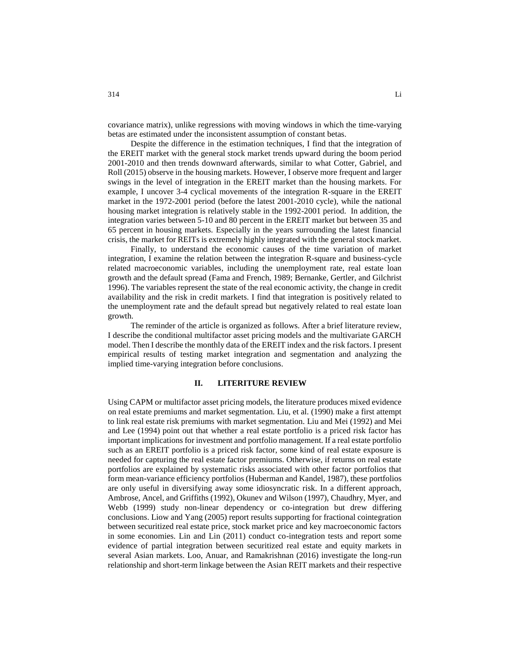covariance matrix), unlike regressions with moving windows in which the time-varying betas are estimated under the inconsistent assumption of constant betas.

Despite the difference in the estimation techniques, I find that the integration of the EREIT market with the general stock market trends upward during the boom period 2001-2010 and then trends downward afterwards, similar to what Cotter, Gabriel, and Roll (2015) observe in the housing markets. However, I observe more frequent and larger swings in the level of integration in the EREIT market than the housing markets. For example, I uncover 3-4 cyclical movements of the integration R-square in the EREIT market in the 1972-2001 period (before the latest 2001-2010 cycle), while the national housing market integration is relatively stable in the 1992-2001 period. In addition, the integration varies between 5-10 and 80 percent in the EREIT market but between 35 and 65 percent in housing markets. Especially in the years surrounding the latest financial crisis, the market for REITs is extremely highly integrated with the general stock market.

Finally, to understand the economic causes of the time variation of market integration, I examine the relation between the integration R-square and business-cycle related macroeconomic variables, including the unemployment rate, real estate loan growth and the default spread (Fama and French, 1989; Bernanke, Gertler, and Gilchrist 1996). The variables represent the state of the real economic activity, the change in credit availability and the risk in credit markets. I find that integration is positively related to the unemployment rate and the default spread but negatively related to real estate loan growth.

The reminder of the article is organized as follows. After a brief literature review, I describe the conditional multifactor asset pricing models and the multivariate GARCH model. Then I describe the monthly data of the EREIT index and the risk factors. I present empirical results of testing market integration and segmentation and analyzing the implied time-varying integration before conclusions.

### **II. LITERITURE REVIEW**

Using CAPM or multifactor asset pricing models, the literature produces mixed evidence on real estate premiums and market segmentation. Liu, et al. (1990) make a first attempt to link real estate risk premiums with market segmentation. Liu and Mei (1992) and Mei and Lee (1994) point out that whether a real estate portfolio is a priced risk factor has important implications for investment and portfolio management. If a real estate portfolio such as an EREIT portfolio is a priced risk factor, some kind of real estate exposure is needed for capturing the real estate factor premiums. Otherwise, if returns on real estate portfolios are explained by systematic risks associated with other factor portfolios that form mean-variance efficiency portfolios (Huberman and Kandel, 1987), these portfolios are only useful in diversifying away some idiosyncratic risk. In a different approach, Ambrose, Ancel, and Griffiths (1992), Okunev and Wilson (1997), Chaudhry, Myer, and Webb (1999) study non-linear dependency or co-integration but drew differing conclusions. Liow and Yang (2005) report results supporting for fractional cointegration between securitized real estate price, stock market price and key macroeconomic factors in some economies. Lin and Lin (2011) conduct co-integration tests and report some evidence of partial integration between securitized real estate and equity markets in several Asian markets. Loo, Anuar, and Ramakrishnan (2016) investigate the long-run relationship and short-term linkage between the Asian REIT markets and their respective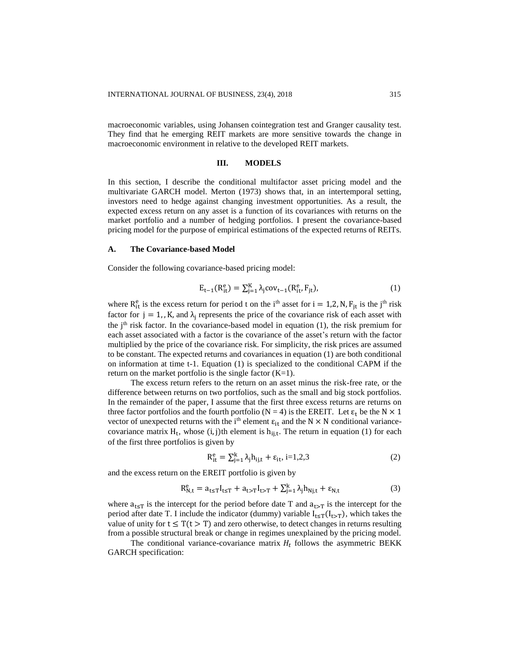macroeconomic variables, using Johansen cointegration test and Granger causality test. They find that he emerging REIT markets are more sensitive towards the change in macroeconomic environment in relative to the developed REIT markets.

### **III. MODELS**

In this section, I describe the conditional multifactor asset pricing model and the multivariate GARCH model. Merton (1973) shows that, in an intertemporal setting, investors need to hedge against changing investment opportunities. As a result, the expected excess return on any asset is a function of its covariances with returns on the market portfolio and a number of hedging portfolios. I present the covariance-based pricing model for the purpose of empirical estimations of the expected returns of REITs.

#### **A. The Covariance-based Model**

Consider the following covariance-based pricing model:

$$
E_{t-1}(R_{it}^{e}) = \sum_{j=1}^{K} \lambda_j cov_{t-1}(R_{it}^{e}, F_{jt}),
$$
\n(1)

where  $R_{it}^e$  is the excess return for period t on the i<sup>th</sup> asset for i = 1,2, N,  $F_{jt}$  is the j<sup>th</sup> risk factor for  $j = 1$ , K, and  $\lambda_j$  represents the price of the covariance risk of each asset with the  $j<sup>th</sup>$  risk factor. In the covariance-based model in equation (1), the risk premium for each asset associated with a factor is the covariance of the asset's return with the factor multiplied by the price of the covariance risk. For simplicity, the risk prices are assumed to be constant. The expected returns and covariances in equation (1) are both conditional on information at time t-1. Equation (1) is specialized to the conditional CAPM if the return on the market portfolio is the single factor  $(K=1)$ .

The excess return refers to the return on an asset minus the risk-free rate, or the difference between returns on two portfolios, such as the small and big stock portfolios. In the remainder of the paper, I assume that the first three excess returns are returns on three factor portfolios and the fourth portfolio (N = 4) is the EREIT. Let  $\varepsilon_t$  be the N  $\times$  1 vector of unexpected returns with the i<sup>th</sup> element  $\varepsilon_{it}$  and the N  $\times$  N conditional variancecovariance matrix  $H_t$ , whose (i, j)th element is  $h_{ij,t}$ . The return in equation (1) for each of the first three portfolios is given by

$$
R_{it}^{e} = \sum_{j=1}^{k} \lambda_j h_{ij,t} + \varepsilon_{it}, i=1,2,3
$$
 (2)

and the excess return on the EREIT portfolio is given by

$$
R_{N,t}^e = a_{t \le T} I_{t \le T} + a_{t > T} I_{t > T} + \sum_{j=1}^k \lambda_j h_{Nj,t} + \varepsilon_{N,t}
$$
 (3)

where  $a_{t \leq T}$  is the intercept for the period before date T and  $a_{t \geq T}$  is the intercept for the period after date T. I include the indicator (dummy) variable  $I_{t \leq T}(I_{t>T})$ , which takes the value of unity for  $t \leq T(t > T)$  and zero otherwise, to detect changes in returns resulting from a possible structural break or change in regimes unexplained by the pricing model.

The conditional variance-covariance matrix  $H_t$  follows the asymmetric BEKK GARCH specification: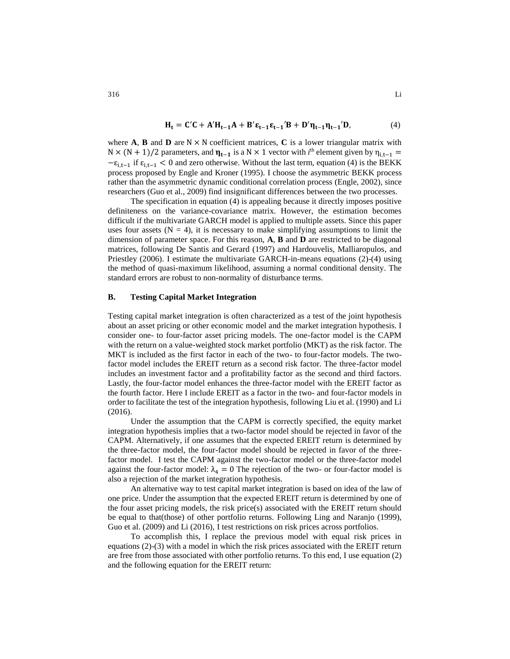$$
H_t = C'C + A'H_{t-1}A + B'\epsilon_{t-1}\epsilon_{t-1}'B + D'\eta_{t-1}\eta_{t-1}'D,
$$
\n(4)

where **A**, **B** and **D** are  $N \times N$  coefficient matrices, **C** is a lower triangular matrix with N × (N + 1)/2 parameters, and  $\eta_{t-1}$  is a N × 1 vector with *i*<sup>th</sup> element given by  $\eta_{i,t-1}$  =  $-\varepsilon_{i,t-1}$  if  $\varepsilon_{i,t-1} < 0$  and zero otherwise. Without the last term, equation (4) is the BEKK process proposed by Engle and Kroner (1995). I choose the asymmetric BEKK process rather than the asymmetric dynamic conditional correlation process (Engle, 2002), since researchers (Guo et al., 2009) find insignificant differences between the two processes.

The specification in equation (4) is appealing because it directly imposes positive definiteness on the variance-covariance matrix. However, the estimation becomes difficult if the multivariate GARCH model is applied to multiple assets. Since this paper uses four assets  $(N = 4)$ , it is necessary to make simplifying assumptions to limit the dimension of parameter space. For this reason, **A**, **B** and **D** are restricted to be diagonal matrices, following De Santis and Gerard (1997) and Hardouvelis, Malliaropulos, and Priestley (2006). I estimate the multivariate GARCH-in-means equations (2)-(4) using the method of quasi-maximum likelihood, assuming a normal conditional density. The standard errors are robust to non-normality of disturbance terms.

### **B. Testing Capital Market Integration**

Testing capital market integration is often characterized as a test of the joint hypothesis about an asset pricing or other economic model and the market integration hypothesis. I consider one- to four-factor asset pricing models. The one-factor model is the CAPM with the return on a value-weighted stock market portfolio (MKT) as the risk factor. The MKT is included as the first factor in each of the two- to four-factor models. The twofactor model includes the EREIT return as a second risk factor. The three-factor model includes an investment factor and a profitability factor as the second and third factors. Lastly, the four-factor model enhances the three-factor model with the EREIT factor as the fourth factor. Here I include EREIT as a factor in the two- and four-factor models in order to facilitate the test of the integration hypothesis, following Liu et al. (1990) and Li (2016).

Under the assumption that the CAPM is correctly specified, the equity market integration hypothesis implies that a two-factor model should be rejected in favor of the CAPM. Alternatively, if one assumes that the expected EREIT return is determined by the three-factor model, the four-factor model should be rejected in favor of the threefactor model. I test the CAPM against the two-factor model or the three-factor model against the four-factor model:  $\lambda_4 = 0$  The rejection of the two- or four-factor model is also a rejection of the market integration hypothesis.

An alternative way to test capital market integration is based on idea of the law of one price. Under the assumption that the expected EREIT return is determined by one of the four asset pricing models, the risk price(s) associated with the EREIT return should be equal to that(those) of other portfolio returns. Following Ling and Naranjo (1999), Guo et al. (2009) and Li (2016), I test restrictions on risk prices across portfolios.

To accomplish this, I replace the previous model with equal risk prices in equations (2)-(3) with a model in which the risk prices associated with the EREIT return are free from those associated with other portfolio returns. To this end, I use equation (2) and the following equation for the EREIT return: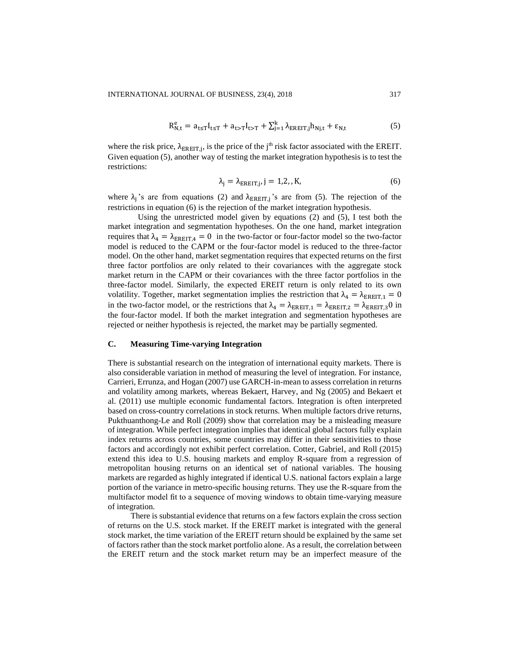$$
R_{N,t}^e = a_{t \le T} I_{t \le T} + a_{t > T} I_{t > T} + \sum_{j=1}^k \lambda_{EREIT,j} h_{Nj,t} + \varepsilon_{N,t}
$$
(5)

where the risk price,  $\lambda_{EREIT,j}$ , is the price of the j<sup>th</sup> risk factor associated with the EREIT. Given equation (5), another way of testing the market integration hypothesis is to test the restrictions:

$$
\lambda_j = \lambda_{EREIT,j}, j = 1,2,,K,\tag{6}
$$

where  $\lambda_j$ 's are from equations (2) and  $\lambda_{EREIT,j}$ 's are from (5). The rejection of the restrictions in equation (6) is the rejection of the market integration hypothesis.

Using the unrestricted model given by equations (2) and (5), I test both the market integration and segmentation hypotheses. On the one hand, market integration requires that  $\lambda_4 = \lambda_{\text{EREIT},4} = 0$  in the two-factor or four-factor model so the two-factor model is reduced to the CAPM or the four-factor model is reduced to the three-factor model. On the other hand, market segmentation requires that expected returns on the first three factor portfolios are only related to their covariances with the aggregate stock market return in the CAPM or their covariances with the three factor portfolios in the three-factor model. Similarly, the expected EREIT return is only related to its own volatility. Together, market segmentation implies the restriction that  $\lambda_4 = \lambda_{\text{EREIT,1}} = 0$ in the two-factor model, or the restrictions that  $\lambda_4 = \lambda_{\text{EREIT},1} = \lambda_{\text{EREIT},2} = \lambda_{\text{EREIT},3}0$  in the four-factor model. If both the market integration and segmentation hypotheses are rejected or neither hypothesis is rejected, the market may be partially segmented.

### **C. Measuring Time-varying Integration**

There is substantial research on the integration of international equity markets. There is also considerable variation in method of measuring the level of integration. For instance, Carrieri, Errunza, and Hogan (2007) use GARCH-in-mean to assess correlation in returns and volatility among markets, whereas Bekaert, Harvey, and Ng (2005) and Bekaert et al. (2011) use multiple economic fundamental factors. Integration is often interpreted based on cross-country correlations in stock returns. When multiple factors drive returns, Pukthuanthong-Le and Roll (2009) show that correlation may be a misleading measure of integration. While perfect integration implies that identical global factors fully explain index returns across countries, some countries may differ in their sensitivities to those factors and accordingly not exhibit perfect correlation. Cotter, Gabriel, and Roll (2015) extend this idea to U.S. housing markets and employ R-square from a regression of metropolitan housing returns on an identical set of national variables. The housing markets are regarded as highly integrated if identical U.S. national factors explain a large portion of the variance in metro-specific housing returns. They use the R-square from the multifactor model fit to a sequence of moving windows to obtain time-varying measure of integration.

There is substantial evidence that returns on a few factors explain the cross section of returns on the U.S. stock market. If the EREIT market is integrated with the general stock market, the time variation of the EREIT return should be explained by the same set of factors rather than the stock market portfolio alone. As a result, the correlation between the EREIT return and the stock market return may be an imperfect measure of the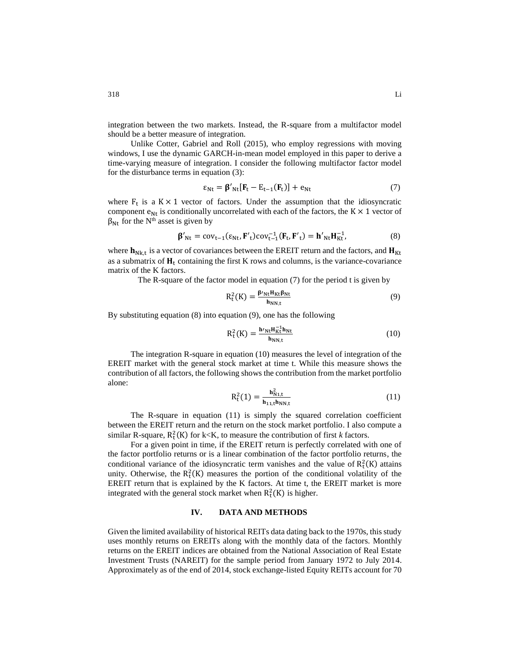integration between the two markets. Instead, the R-square from a multifactor model should be a better measure of integration.

Unlike Cotter, Gabriel and Roll (2015), who employ regressions with moving windows, I use the dynamic GARCH-in-mean model employed in this paper to derive a time-varying measure of integration. I consider the following multifactor factor model for the disturbance terms in equation (3):

$$
\varepsilon_{\text{Nt}} = \beta'_{\text{Nt}} [\mathbf{F}_{t} - \mathbf{E}_{t-1}(\mathbf{F}_{t})] + \mathbf{e}_{\text{Nt}} \tag{7}
$$

where  $F_t$  is a  $K \times 1$  vector of factors. Under the assumption that the idiosyncratic component  $e_{Nt}$  is conditionally uncorrelated with each of the factors, the K  $\times$  1 vector of  $\beta_{Nt}$  for the N<sup>th</sup> asset is given by

$$
\beta'_{Nt} = cov_{t-1}(\epsilon_{Nt}, \mathbf{F'}_t) cov_{t-1}^{-1}(\mathbf{F}_t, \mathbf{F'}_t) = \mathbf{h'}_{Nt} \mathbf{H}_{Kt}^{-1},
$$
(8)

where  $h_{Nkt}$  is a vector of covariances between the EREIT return and the factors, and  $H_{Kt}$ as a submatrix of  $H_t$  containing the first K rows and columns, is the variance-covariance matrix of the K factors.

The R-square of the factor model in equation (7) for the period t is given by

$$
R_t^2(K) = \frac{\beta'_{Nt}H_{Kt}\beta_{Nt}}{h_{NN,t}}
$$
(9)

By substituting equation (8) into equation (9), one has the following

$$
R_t^2(K) = \frac{\mathbf{h'}_{Nt} H_{Kt}^{-1} \mathbf{h}_{Nt}}{\mathbf{h}_{NN,t}}
$$
(10)

The integration R-square in equation (10) measures the level of integration of the EREIT market with the general stock market at time t. While this measure shows the contribution of all factors, the following shows the contribution from the market portfolio alone:

$$
R_t^2(1) = \frac{h_{N1,t}^2}{h_{11,t}h_{NN,t}}
$$
 (11)

The R-square in equation (11) is simply the squared correlation coefficient between the EREIT return and the return on the stock market portfolio. I also compute a similar R-square,  $R_t^2(K)$  for k<K, to measure the contribution of first *k* factors.

For a given point in time, if the EREIT return is perfectly correlated with one of the factor portfolio returns or is a linear combination of the factor portfolio returns, the conditional variance of the idiosyncratic term vanishes and the value of  $R_t^2(K)$  attains unity. Otherwise, the  $R_t^2(K)$  measures the portion of the conditional volatility of the EREIT return that is explained by the K factors. At time t, the EREIT market is more integrated with the general stock market when  $R_t^2(K)$  is higher.

### **IV. DATA AND METHODS**

Given the limited availability of historical REITs data dating back to the 1970s, this study uses monthly returns on EREITs along with the monthly data of the factors. Monthly returns on the EREIT indices are obtained from the National Association of Real Estate Investment Trusts (NAREIT) for the sample period from January 1972 to July 2014. Approximately as of the end of 2014, stock exchange-listed Equity REITs account for 70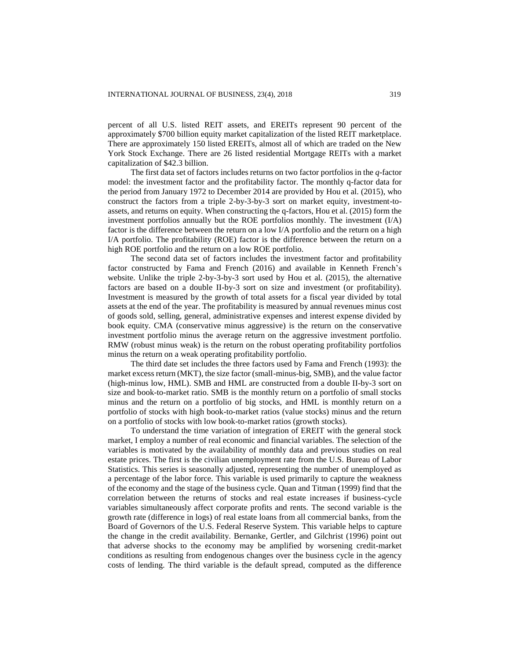percent of all U.S. listed REIT assets, and EREITs represent 90 percent of the approximately \$700 billion equity market capitalization of the listed REIT marketplace. There are approximately 150 listed EREITs, almost all of which are traded on the New York Stock Exchange. There are 26 listed residential Mortgage REITs with a market capitalization of \$42.3 billion.

The first data set of factors includes returns on two factor portfolios in the *q*-factor model: the investment factor and the profitability factor. The monthly q-factor data for the period from January 1972 to December 2014 are provided by Hou et al. (2015), who construct the factors from a triple 2-by-3-by-3 sort on market equity, investment-toassets, and returns on equity. When constructing the q-factors, Hou et al. (2015) form the investment portfolios annually but the ROE portfolios monthly. The investment (I/A) factor is the difference between the return on a low I/A portfolio and the return on a high I/A portfolio. The profitability (ROE) factor is the difference between the return on a high ROE portfolio and the return on a low ROE portfolio.

The second data set of factors includes the investment factor and profitability factor constructed by Fama and French (2016) and available in Kenneth French's website. Unlike the triple 2-by-3-by-3 sort used by Hou et al. (2015), the alternative factors are based on a double II-by-3 sort on size and investment (or profitability). Investment is measured by the growth of total assets for a fiscal year divided by total assets at the end of the year. The profitability is measured by annual revenues minus cost of goods sold, selling, general, administrative expenses and interest expense divided by book equity. CMA (conservative minus aggressive) is the return on the conservative investment portfolio minus the average return on the aggressive investment portfolio. RMW (robust minus weak) is the return on the robust operating profitability portfolios minus the return on a weak operating profitability portfolio.

The third date set includes the three factors used by Fama and French (1993): the market excess return (MKT), the size factor (small-minus-big, SMB), and the value factor (high-minus low, HML). SMB and HML are constructed from a double II-by-3 sort on size and book-to-market ratio. SMB is the monthly return on a portfolio of small stocks minus and the return on a portfolio of big stocks, and HML is monthly return on a portfolio of stocks with high book-to-market ratios (value stocks) minus and the return on a portfolio of stocks with low book-to-market ratios (growth stocks).

To understand the time variation of integration of EREIT with the general stock market, I employ a number of real economic and financial variables. The selection of the variables is motivated by the availability of monthly data and previous studies on real estate prices. The first is the civilian unemployment rate from the U.S. Bureau of Labor Statistics. This series is seasonally adjusted, representing the number of unemployed as a percentage of the labor force. This variable is used primarily to capture the weakness of the economy and the stage of the business cycle. Quan and Titman (1999) find that the correlation between the returns of stocks and real estate increases if business-cycle variables simultaneously affect corporate profits and rents. The second variable is the growth rate (difference in logs) of real estate loans from all commercial banks, from the Board of Governors of the U.S. Federal Reserve System. This variable helps to capture the change in the credit availability. Bernanke, Gertler, and Gilchrist (1996) point out that adverse shocks to the economy may be amplified by worsening credit-market conditions as resulting from endogenous changes over the business cycle in the agency costs of lending. The third variable is the default spread, computed as the difference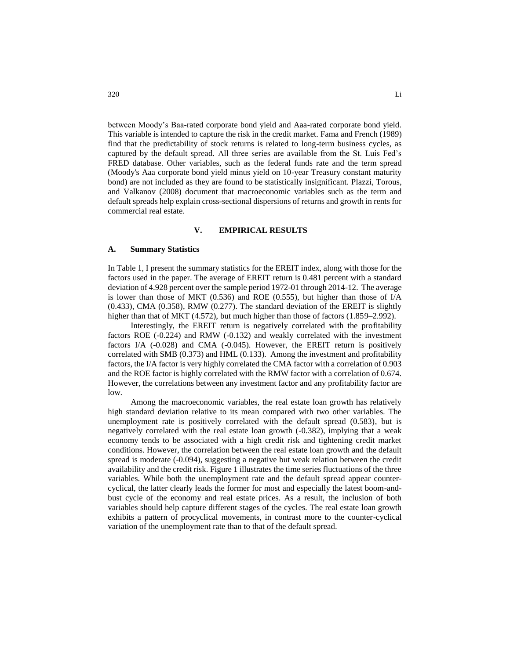between Moody's Baa-rated corporate bond yield and Aaa-rated corporate bond yield. This variable is intended to capture the risk in the credit market. Fama and French (1989) find that the predictability of stock returns is related to long-term business cycles, as captured by the default spread. All three series are available from the St. Luis Fed's FRED database. Other variables, such as the federal funds rate and the term spread (Moody's Aaa corporate bond yield minus yield on 10-year Treasury constant maturity bond) are not included as they are found to be statistically insignificant. Plazzi, Torous, and Valkanov (2008) document that macroeconomic variables such as the term and default spreads help explain cross-sectional dispersions of returns and growth in rents for commercial real estate.

### **V. EMPIRICAL RESULTS**

#### **A. Summary Statistics**

In Table 1, I present the summary statistics for the EREIT index, along with those for the factors used in the paper. The average of EREIT return is 0.481 percent with a standard deviation of 4.928 percent over the sample period 1972-01 through 2014-12. The average is lower than those of MKT (0.536) and ROE (0.555), but higher than those of I/A (0.433), CMA (0.358), RMW (0.277). The standard deviation of the EREIT is slightly higher than that of MKT (4.572), but much higher than those of factors (1.859–2.992).

Interestingly, the EREIT return is negatively correlated with the profitability factors ROE (-0.224) and RMW (-0.132) and weakly correlated with the investment factors I/A (-0.028) and CMA (-0.045). However, the EREIT return is positively correlated with SMB (0.373) and HML (0.133). Among the investment and profitability factors, the I/A factor is very highly correlated the CMA factor with a correlation of 0.903 and the ROE factor is highly correlated with the RMW factor with a correlation of 0.674. However, the correlations between any investment factor and any profitability factor are low.

Among the macroeconomic variables, the real estate loan growth has relatively high standard deviation relative to its mean compared with two other variables. The unemployment rate is positively correlated with the default spread (0.583), but is negatively correlated with the real estate loan growth (-0.382), implying that a weak economy tends to be associated with a high credit risk and tightening credit market conditions. However, the correlation between the real estate loan growth and the default spread is moderate (-0.094), suggesting a negative but weak relation between the credit availability and the credit risk. Figure 1 illustrates the time series fluctuations of the three variables. While both the unemployment rate and the default spread appear countercyclical, the latter clearly leads the former for most and especially the latest boom-andbust cycle of the economy and real estate prices. As a result, the inclusion of both variables should help capture different stages of the cycles. The real estate loan growth exhibits a pattern of procyclical movements, in contrast more to the counter-cyclical variation of the unemployment rate than to that of the default spread.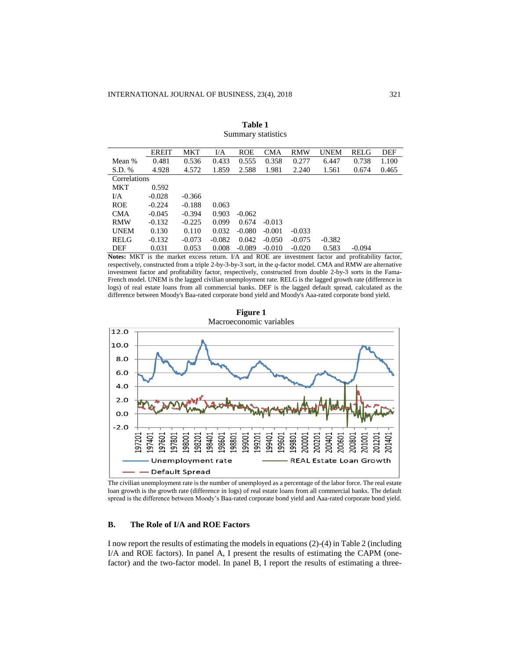|              | <b>EREIT</b> | MKT      | I/A      | ROE      | <b>CMA</b> | <b>RMW</b> | <b>UNEM</b> | <b>RELG</b> | DEF   |
|--------------|--------------|----------|----------|----------|------------|------------|-------------|-------------|-------|
| Mean %       | 0.481        | 0.536    | 0.433    | 0.555    | 0.358      | 0.277      | 6.447       | 0.738       | 1.100 |
| S.D. %       | 4.928        | 4.572    | 1.859    | 2.588    | 1.981      | 2.240      | 1.561       | 0.674       | 0.465 |
| Correlations |              |          |          |          |            |            |             |             |       |
| MKT          | 0.592        |          |          |          |            |            |             |             |       |
| IJА          | $-0.028$     | $-0.366$ |          |          |            |            |             |             |       |
| <b>ROE</b>   | $-0.224$     | $-0.188$ | 0.063    |          |            |            |             |             |       |
| <b>CMA</b>   | $-0.045$     | $-0.394$ | 0.903    | $-0.062$ |            |            |             |             |       |
| <b>RMW</b>   | $-0.132$     | $-0.225$ | 0.099    | 0.674    | $-0.013$   |            |             |             |       |
| <b>UNEM</b>  | 0.130        | 0.110    | 0.032    | $-0.080$ | $-0.001$   | $-0.033$   |             |             |       |
| <b>RELG</b>  | $-0.132$     | $-0.073$ | $-0.082$ | 0.042    | $-0.050$   | $-0.075$   | $-0.382$    |             |       |
| DEF          | 0.031        | 0.053    | 0.008    | $-0.089$ | $-0.010$   | $-0.020$   | 0.583       | $-0.094$    |       |

**Table 1** Summary statistics

**Notes:** MKT is the market excess return. I/A and ROE are investment factor and profitability factor, respectively, constructed from a triple 2-by-3-by-3 sort, in the *q*-factor model. CMA and RMW are alternative investment factor and profitability factor, respectively, constructed from double 2-by-3 sorts in the Fama-French model. UNEM is the lagged civilian unemployment rate. RELG is the lagged growth rate (difference in logs) of real estate loans from all commercial banks. DEF is the lagged default spread, calculated as the difference between Moody's Baa-rated corporate bond yield and Moody's Aaa-rated corporate bond yield.



**Figure 1** Macroeconomic variables

The civilian unemployment rate is the number of unemployed as a percentage of the labor force. The real estate loan growth is the growth rate (difference in logs) of real estate loans from all commercial banks. The default spread is the difference between Moody's Baa-rated corporate bond yield and Aaa-rated corporate bond yield.

### **B. The Role of I/A and ROE Factors**

I now report the results of estimating the models in equations (2)-(4) in Table 2 (including I/A and ROE factors). In panel A, I present the results of estimating the CAPM (onefactor) and the two-factor model. In panel B, I report the results of estimating a three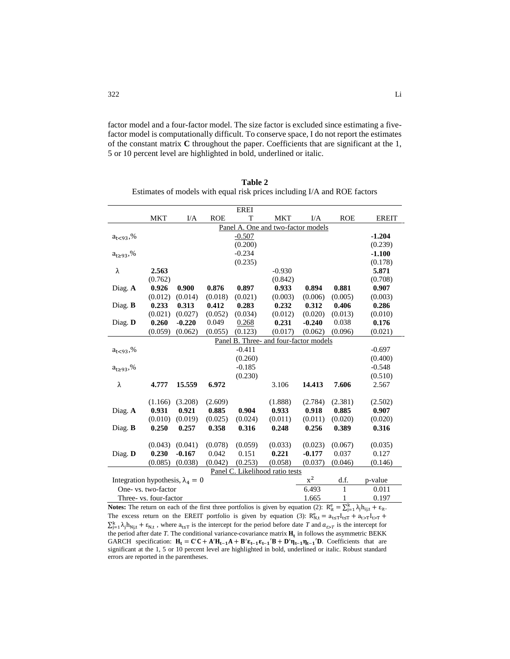factor model and a four-factor model. The size factor is excluded since estimating a fivefactor model is computationally difficult. To conserve space, I do not report the estimates of the constant matrix **C** throughout the paper. Coefficients that are significant at the 1, 5 or 10 percent level are highlighted in bold, underlined or italic.

|                                         |                        |          |            | <b>EREI</b> |                                        |           |              |              |
|-----------------------------------------|------------------------|----------|------------|-------------|----------------------------------------|-----------|--------------|--------------|
|                                         | <b>MKT</b>             | I/A      | <b>ROE</b> | T           | <b>MKT</b>                             | I/A       | <b>ROE</b>   | <b>EREIT</b> |
|                                         |                        |          |            |             | Panel A. One and two-factor models     |           |              |              |
| $a_{t<93}$ ,%                           |                        |          |            | $-0.507$    |                                        |           |              | $-1.204$     |
|                                         |                        |          |            | (0.200)     |                                        |           |              | (0.239)      |
| $a_{t \geq 93}$ ,%                      |                        |          |            | $-0.234$    |                                        |           |              | $-1.100$     |
|                                         |                        |          |            | (0.235)     |                                        |           |              | (0.178)      |
| λ                                       | 2.563                  |          |            |             | $-0.930$                               |           |              | 5.871        |
|                                         | (0.762)                |          |            |             | (0.842)                                |           |              | (0.708)      |
| Diag. A                                 | 0.926                  | 0.900    | 0.876      | 0.897       | 0.933                                  | 0.894     | 0.881        | 0.907        |
|                                         | (0.012)                | (0.014)  | (0.018)    | (0.021)     | (0.003)                                | (0.006)   | (0.005)      | (0.003)      |
| Diag. B                                 | 0.233                  | 0.313    | 0.412      | 0.283       | 0.232                                  | 0.312     | 0.406        | 0.286        |
|                                         | (0.021)                | (0.027)  | (0.052)    | (0.034)     | (0.012)                                | (0.020)   | (0.013)      | (0.010)      |
| Diag. D                                 | 0.260                  | $-0.220$ | 0.049      | 0.268       | 0.231                                  | $-0.240$  | 0.038        | 0.176        |
|                                         | (0.059)                | (0.062)  | (0.055)    | (0.123)     | (0.017)                                | (0.062)   | (0.096)      | (0.021)      |
|                                         |                        |          |            |             | Panel B. Three- and four-factor models |           |              |              |
| $a_{t<93}$ ,%                           |                        |          |            | $-0.411$    |                                        |           |              | $-0.697$     |
|                                         |                        |          |            | (0.260)     |                                        |           |              | (0.400)      |
| $a_{t \ge 93}$ ,%                       |                        |          |            | $-0.185$    |                                        |           |              | $-0.548$     |
|                                         |                        |          |            | (0.230)     |                                        |           |              | (0.510)      |
| λ                                       | 4.777                  | 15.559   | 6.972      |             | 3.106                                  | 14.413    | 7.606        | 2.567        |
|                                         |                        |          |            |             |                                        |           |              |              |
|                                         | (1.166)                | (3.208)  | (2.609)    |             | (1.888)                                | (2.784)   | (2.381)      | (2.502)      |
| Diag. A                                 | 0.931                  | 0.921    | 0.885      | 0.904       | 0.933                                  | 0.918     | 0.885        | 0.907        |
|                                         | (0.010)                | (0.019)  | (0.025)    | (0.024)     | (0.011)                                | (0.011)   | (0.020)      | (0.020)      |
| Diag. $\bf{B}$                          | 0.250                  | 0.257    | 0.358      | 0.316       | 0.248                                  | 0.256     | 0.389        | 0.316        |
|                                         |                        |          |            |             |                                        |           |              |              |
|                                         | (0.043)                | (0.041)  | (0.078)    | (0.059)     | (0.033)                                | (0.023)   | (0.067)      | (0.035)      |
| Diag. D                                 | 0.230                  | $-0.167$ | 0.042      | 0.151       | 0.221                                  | $-0.177$  | 0.037        | 0.127        |
|                                         | (0.085)                | (0.038)  | (0.042)    | (0.253)     | (0.058)                                | (0.037)   | (0.046)      | (0.146)      |
|                                         |                        |          |            |             | Panel C. Likelihood ratio tests        |           |              |              |
| Integration hypothesis, $\lambda_4 = 0$ |                        |          |            |             |                                        | $\rm x^2$ | d.f.         | p-value      |
|                                         | One- vs. two-factor    |          |            |             |                                        | 6.493     | $\mathbf{1}$ | 0.011        |
|                                         | Three- vs. four-factor |          |            |             |                                        | 1.665     | 1            | 0.197        |

**Table 2** Estimates of models with equal risk prices including I/A and ROE factors

**Notes:** The return on each of the first three portfolios is given by equation (2):  $R_{it}^e = \sum_{j=1}^{k} \lambda_j h_{ij,t} + \varepsilon_{it}$ . The excess return on the EREIT portfolio is given by equation (3):  $R_{N,t}^e = a_{t \le T} I_{t \le T} + a_{t \ge T} I_{t \ge T}$  $\sum_{j=1}^{k} \lambda_j h_{Nj,t} + \varepsilon_{N,t}$ , where  $a_{t\leq T}$  is the intercept for the period before date *T* and  $a_{t>T}$  is the intercept for the period after date  $T$ . The conditional variance-covariance matrix  $H_t$  in follows the asymmetric BEKK GARCH specification:  $H_t = C'C + A'H_{t-1}A + B'\epsilon_{t-1}\epsilon_{t-1}'B + D'\eta_{t-1}\eta_{t-1}'D$ . Coefficients that are significant at the 1, 5 or 10 percent level are highlighted in bold, underlined or italic. Robust standard errors are reported in the parentheses.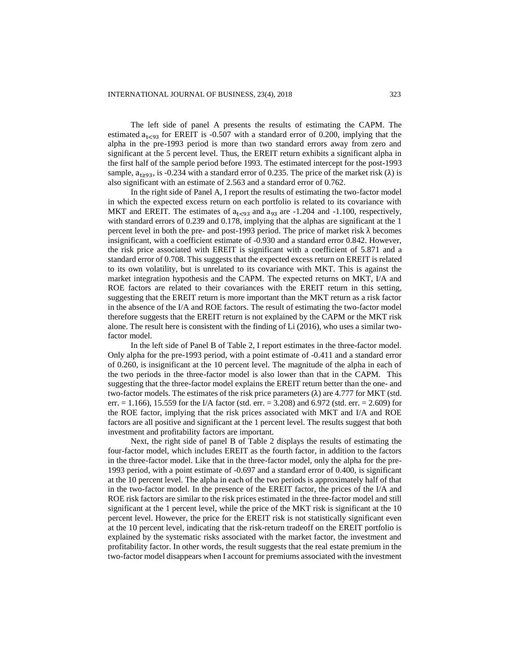The left side of panel A presents the results of estimating the CAPM. The estimated  $a_{1 \leq 93}$  for EREIT is -0.507 with a standard error of 0.200, implying that the alpha in the pre-1993 period is more than two standard errors away from zero and significant at the 5 percent level. Thus, the EREIT return exhibits a significant alpha in the first half of the sample period before 1993. The estimated intercept for the post-1993 sample,  $a_{t>93}$ , is -0.234 with a standard error of 0.235. The price of the market risk ( $\lambda$ ) is also significant with an estimate of 2.563 and a standard error of 0.762.

In the right side of Panel A, I report the results of estimating the two-factor model in which the expected excess return on each portfolio is related to its covariance with MKT and EREIT. The estimates of  $a_{t<93}$  and  $a_{93}$  are -1.204 and -1.100, respectively, with standard errors of 0.239 and 0.178, implying that the alphas are significant at the 1 percent level in both the pre- and post-1993 period. The price of market risk  $\lambda$  becomes insignificant, with a coefficient estimate of -0.930 and a standard error 0.842. However, the risk price associated with EREIT is significant with a coefficient of 5.871 and a standard error of 0.708. This suggests that the expected excess return on EREIT is related to its own volatility, but is unrelated to its covariance with MKT. This is against the market integration hypothesis and the CAPM. The expected returns on MKT, I/A and ROE factors are related to their covariances with the EREIT return in this setting, suggesting that the EREIT return is more important than the MKT return as a risk factor in the absence of the I/A and ROE factors. The result of estimating the two-factor model therefore suggests that the EREIT return is not explained by the CAPM or the MKT risk alone. The result here is consistent with the finding of Li (2016), who uses a similar twofactor model.

In the left side of Panel B of Table 2, I report estimates in the three-factor model. Only alpha for the pre-1993 period, with a point estimate of -0.411 and a standard error of 0.260, is insignificant at the 10 percent level. The magnitude of the alpha in each of the two periods in the three-factor model is also lower than that in the CAPM. This suggesting that the three-factor model explains the EREIT return better than the one- and two-factor models. The estimates of the risk price parameters  $(\lambda)$  are 4.777 for MKT (std. err.  $= 1.166$ ), 15.559 for the I/A factor (std. err.  $= 3.208$ ) and 6.972 (std. err.  $= 2.609$ ) for the ROE factor, implying that the risk prices associated with MKT and I/A and ROE factors are all positive and significant at the 1 percent level. The results suggest that both investment and profitability factors are important.

Next, the right side of panel B of Table 2 displays the results of estimating the four-factor model, which includes EREIT as the fourth factor, in addition to the factors in the three-factor model. Like that in the three-factor model, only the alpha for the pre-1993 period, with a point estimate of -0.697 and a standard error of 0.400, is significant at the 10 percent level. The alpha in each of the two periods is approximately half of that in the two-factor model. In the presence of the EREIT factor, the prices of the I/A and ROE risk factors are similar to the risk prices estimated in the three-factor model and still significant at the 1 percent level, while the price of the MKT risk is significant at the 10 percent level. However, the price for the EREIT risk is not statistically significant even at the 10 percent level, indicating that the risk-return tradeoff on the EREIT portfolio is explained by the systematic risks associated with the market factor, the investment and profitability factor. In other words, the result suggests that the real estate premium in the two-factor model disappears when I account for premiums associated with the investment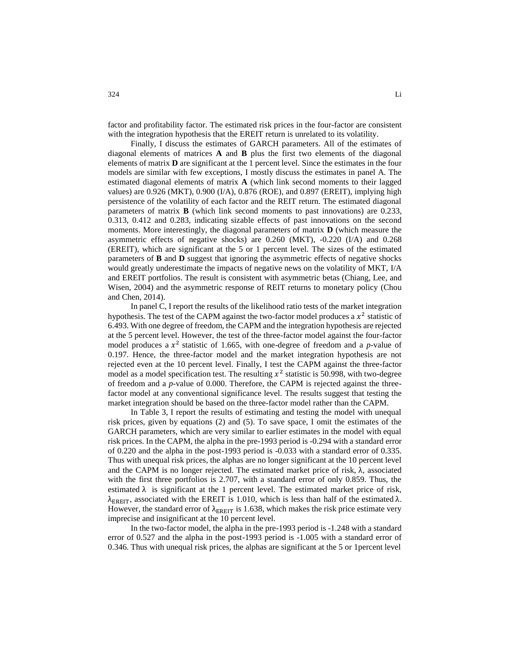factor and profitability factor. The estimated risk prices in the four-factor are consistent with the integration hypothesis that the EREIT return is unrelated to its volatility.

Finally, I discuss the estimates of GARCH parameters. All of the estimates of diagonal elements of matrices **A** and **B** plus the first two elements of the diagonal elements of matrix **D** are significant at the 1 percent level. Since the estimates in the four models are similar with few exceptions, I mostly discuss the estimates in panel A. The estimated diagonal elements of matrix **A** (which link second moments to their lagged values) are 0.926 (MKT), 0.900 (I/A), 0.876 (ROE), and 0.897 (EREIT), implying high persistence of the volatility of each factor and the REIT return. The estimated diagonal parameters of matrix **B** (which link second moments to past innovations) are 0.233, 0.313, 0.412 and 0.283, indicating sizable effects of past innovations on the second moments. More interestingly, the diagonal parameters of matrix **D** (which measure the asymmetric effects of negative shocks) are 0.260 (MKT), -0.220 (I/A) and 0.268 (EREIT), which are significant at the 5 or 1 percent level. The sizes of the estimated parameters of **B** and **D** suggest that ignoring the asymmetric effects of negative shocks would greatly underestimate the impacts of negative news on the volatility of MKT, I/A and EREIT portfolios. The result is consistent with asymmetric betas (Chiang, Lee, and Wisen, 2004) and the asymmetric response of REIT returns to monetary policy (Chou and Chen, 2014).

In panel C, I report the results of the likelihood ratio tests of the market integration hypothesis. The test of the CAPM against the two-factor model produces a  $x^2$  statistic of 6.493. With one degree of freedom, the CAPM and the integration hypothesis are rejected at the 5 percent level. However, the test of the three-factor model against the four-factor model produces a  $x^2$  statistic of 1.665, with one-degree of freedom and a *p*-value of 0.197. Hence, the three-factor model and the market integration hypothesis are not rejected even at the 10 percent level. Finally, I test the CAPM against the three-factor model as a model specification test. The resulting  $x^2$  statistic is 50.998, with two-degree of freedom and a *p*-value of 0.000. Therefore, the CAPM is rejected against the threefactor model at any conventional significance level. The results suggest that testing the market integration should be based on the three-factor model rather than the CAPM.

In Table 3, I report the results of estimating and testing the model with unequal risk prices, given by equations (2) and (5). To save space, I omit the estimates of the GARCH parameters, which are very similar to earlier estimates in the model with equal risk prices. In the CAPM, the alpha in the pre-1993 period is -0.294 with a standard error of 0.220 and the alpha in the post-1993 period is -0.033 with a standard error of 0.335. Thus with unequal risk prices, the alphas are no longer significant at the 10 percent level and the CAPM is no longer rejected. The estimated market price of risk,  $\lambda$ , associated with the first three portfolios is 2.707, with a standard error of only 0.859. Thus, the estimated  $\lambda$  is significant at the 1 percent level. The estimated market price of risk,  $λ_{EREIT}$ , associated with the EREIT is 1.010, which is less than half of the estimated  $λ$ . However, the standard error of  $\lambda_{\text{ERET}}$  is 1.638, which makes the risk price estimate very imprecise and insignificant at the 10 percent level.

In the two-factor model, the alpha in the pre-1993 period is -1.248 with a standard error of 0.527 and the alpha in the post-1993 period is -1.005 with a standard error of 0.346. Thus with unequal risk prices, the alphas are significant at the 5 or 1percent level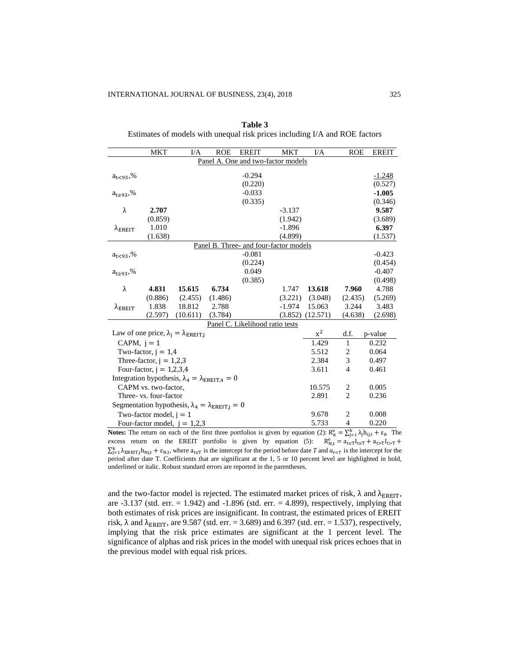|                                | <b>MKT</b>                 | I/A                                                                | <b>ROE</b> | <b>EREIT</b>                           | <b>MKT</b> | I/A      | <b>ROE</b>     | <b>EREIT</b>        |
|--------------------------------|----------------------------|--------------------------------------------------------------------|------------|----------------------------------------|------------|----------|----------------|---------------------|
|                                |                            |                                                                    |            | Panel A. One and two-factor models     |            |          |                |                     |
|                                |                            |                                                                    |            | $-0.294$                               |            |          |                |                     |
| $a_{t<93}$ ,%                  |                            |                                                                    |            | (0.220)                                |            |          |                | $-1.248$            |
|                                |                            |                                                                    |            | $-0.033$                               |            |          |                | (0.527)<br>$-1.005$ |
| $a_{t \ge 93}$ ,%              |                            |                                                                    |            | (0.335)                                |            |          |                | (0.346)             |
| λ                              | 2.707                      |                                                                    |            |                                        | $-3.137$   |          |                | 9.587               |
|                                | (0.859)                    |                                                                    |            |                                        | (1.942)    |          |                | (3.689)             |
|                                | 1.010                      |                                                                    |            |                                        | $-1.896$   |          |                | 6.397               |
| $\lambda_{\rm EREIT}$          | (1.638)                    |                                                                    |            |                                        | (4.899)    |          |                |                     |
|                                |                            |                                                                    |            | Panel B. Three- and four-factor models |            |          |                | (1.537)             |
|                                |                            |                                                                    |            | $-0.081$                               |            |          |                | $-0.423$            |
| $a_{t<93}$ ,%                  |                            |                                                                    |            | (0.224)                                |            |          |                | (0.454)             |
| $a_{1>93}$ ,%                  |                            |                                                                    |            | 0.049                                  |            |          |                | $-0.407$            |
|                                |                            |                                                                    |            | (0.385)                                |            |          |                | (0.498)             |
| $\lambda$                      | 4.831                      | 15.615                                                             | 6.734      |                                        | 1.747      | 13.618   | 7.960          | 4.788               |
|                                | (0.886)                    | (2.455)                                                            | (1.486)    |                                        | (3.221)    | (3.048)  | (2.435)        | (5.269)             |
| $\lambda_{\rm EREIT}$          | 1.838                      | 18.812                                                             | 2.788      |                                        | $-1.974$   | 15.063   | 3.244          | 3.483               |
|                                | (2.597)                    | (10.611)                                                           | (3.784)    |                                        | (3.852)    | (12.571) | (4.638)        | (2.698)             |
|                                |                            |                                                                    |            | Panel C. Likelihood ratio tests        |            |          |                |                     |
|                                |                            | Law of one price, $\lambda_i = \lambda_{\text{EREIT},i}$           |            |                                        |            | $x^2$    | d.f.           | p-value             |
| CAPM, $i = 1$                  |                            |                                                                    |            |                                        |            | 1.429    | $\mathbf{1}$   | 0.232               |
|                                | Two-factor, $i = 1.4$      |                                                                    |            |                                        |            | 5.512    | $\overline{c}$ | 0.064               |
|                                | Three-factor, $j = 1,2,3$  |                                                                    |            |                                        |            | 2.384    | 3              | 0.497               |
|                                | Four-factor, $j = 1,2,3,4$ |                                                                    |            |                                        |            | 3.611    | $\overline{4}$ | 0.461               |
|                                |                            | Integration hypothesis, $\lambda_4 = \lambda_{\text{EREIT},4} = 0$ |            |                                        |            |          |                |                     |
|                                | CAPM vs. two-factor,       |                                                                    |            |                                        |            | 10.575   | 2              | 0.005               |
|                                | Three- vs. four-factor     |                                                                    |            |                                        |            | 2.891    | $\overline{2}$ | 0.236               |
|                                |                            |                                                                    |            |                                        |            |          |                |                     |
|                                |                            | Segmentation hypothesis, $\lambda_4 = \lambda_{EREIT,j} = 0$       |            |                                        |            |          |                |                     |
|                                | Two-factor model, $i = 1$  |                                                                    |            |                                        |            | 9.678    | 2              | 0.008               |
| Four-factor model, $j = 1,2,3$ |                            |                                                                    |            |                                        |            | 5.733    | $\overline{4}$ | 0.220               |

| Table 3                                                                    |
|----------------------------------------------------------------------------|
| Estimates of models with unequal risk prices including I/A and ROE factors |

**Notes:** The return on each of the first three portfolios is given by equation (2):  $R_{it}^e = \sum_{j=1}^{k} \lambda_j h_{ij,t} + \varepsilon_{it}$  The excess return on the EREIT portfolio is given by equation (5):  $R_{N,t}^e = a_{t \le T} I_{t \le T} + a_{t \ge T} I_{t \ge T}$  $\sum_{j=1}^{k} \lambda_{ERE[T,j} h_{Nj,t} + \varepsilon_{N,t}$ , where  $a_{t \leq T}$  is the intercept for the period before date *T* and  $a_{t \leq T}$  is the intercept for the period after date T. Coefficients that are significant at the 1, 5 or 10 percent level are highlighted in bold, underlined or italic. Robust standard errors are reported in the parentheses.

and the two-factor model is rejected. The estimated market prices of risk,  $\lambda$  and  $\lambda_{\text{EREIT}}$ , are -3.137 (std. err. = 1.942) and -1.896 (std. err. = 4.899), respectively, implying that both estimates of risk prices are insignificant. In contrast, the estimated prices of EREIT risk,  $\lambda$  and  $\lambda_{\text{EREIT}}$ , are 9.587 (std. err. = 3.689) and 6.397 (std. err. = 1.537), respectively, implying that the risk price estimates are significant at the 1 percent level. The significance of alphas and risk prices in the model with unequal risk prices echoes that in the previous model with equal risk prices.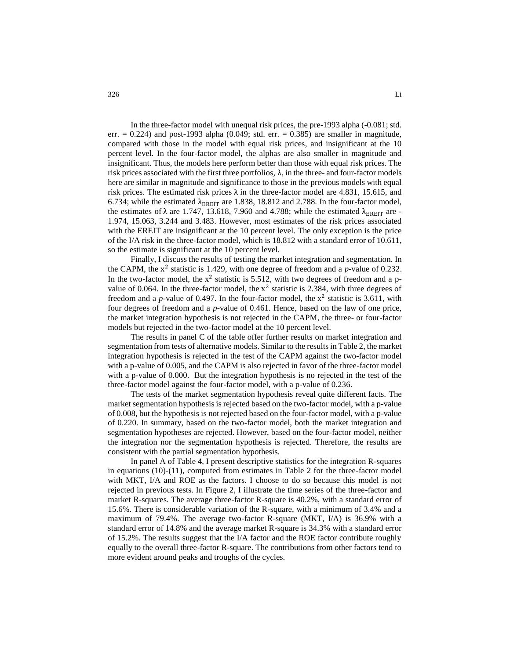In the three-factor model with unequal risk prices, the pre-1993 alpha (-0.081; std. err.  $= 0.224$ ) and post-1993 alpha (0.049; std. err.  $= 0.385$ ) are smaller in magnitude, compared with those in the model with equal risk prices, and insignificant at the 10 percent level. In the four-factor model, the alphas are also smaller in magnitude and insignificant. Thus, the models here perform better than those with equal risk prices. The risk prices associated with the first three portfolios,  $\lambda$ , in the three- and four-factor models here are similar in magnitude and significance to those in the previous models with equal risk prices. The estimated risk prices  $\lambda$  in the three-factor model are 4.831, 15.615, and 6.734; while the estimated  $\lambda_{\text{EREIT}}$  are 1.838, 18.812 and 2.788. In the four-factor model, the estimates of  $\lambda$  are 1.747, 13.618, 7.960 and 4.788; while the estimated  $\lambda_{\rm EREIT}$  are -1.974, 15.063, 3.244 and 3.483. However, most estimates of the risk prices associated with the EREIT are insignificant at the 10 percent level. The only exception is the price of the I/A risk in the three-factor model, which is 18.812 with a standard error of 10.611, so the estimate is significant at the 10 percent level.

Finally, I discuss the results of testing the market integration and segmentation. In the CAPM, the  $x^2$  statistic is 1.429, with one degree of freedom and a  $p$ -value of 0.232. In the two-factor model, the  $x^2$  statistic is 5.512, with two degrees of freedom and a pvalue of 0.064. In the three-factor model, the  $x^2$  statistic is 2.384, with three degrees of freedom and a  $p$ -value of 0.497. In the four-factor model, the  $x^2$  statistic is 3.611, with four degrees of freedom and a *p*-value of 0.461. Hence, based on the law of one price, the market integration hypothesis is not rejected in the CAPM, the three- or four-factor models but rejected in the two-factor model at the 10 percent level.

The results in panel C of the table offer further results on market integration and segmentation from tests of alternative models. Similar to the results in Table 2, the market integration hypothesis is rejected in the test of the CAPM against the two-factor model with a p-value of 0.005, and the CAPM is also rejected in favor of the three-factor model with a p-value of 0.000. But the integration hypothesis is no rejected in the test of the three-factor model against the four-factor model, with a p-value of 0.236.

The tests of the market segmentation hypothesis reveal quite different facts. The market segmentation hypothesis is rejected based on the two-factor model, with a p-value of 0.008, but the hypothesis is not rejected based on the four-factor model, with a p-value of 0.220. In summary, based on the two-factor model, both the market integration and segmentation hypotheses are rejected. However, based on the four-factor model, neither the integration nor the segmentation hypothesis is rejected. Therefore, the results are consistent with the partial segmentation hypothesis.

In panel A of Table 4, I present descriptive statistics for the integration R-squares in equations  $(10)-(11)$ , computed from estimates in Table 2 for the three-factor model with MKT, I/A and ROE as the factors. I choose to do so because this model is not rejected in previous tests. In Figure 2, I illustrate the time series of the three-factor and market R-squares. The average three-factor R-square is 40.2%, with a standard error of 15.6%. There is considerable variation of the R-square, with a minimum of 3.4% and a maximum of 79.4%. The average two-factor R-square (MKT, I/A) is 36.9% with a standard error of 14.8% and the average market R-square is 34.3% with a standard error of 15.2%. The results suggest that the I/A factor and the ROE factor contribute roughly equally to the overall three-factor R-square. The contributions from other factors tend to more evident around peaks and troughs of the cycles.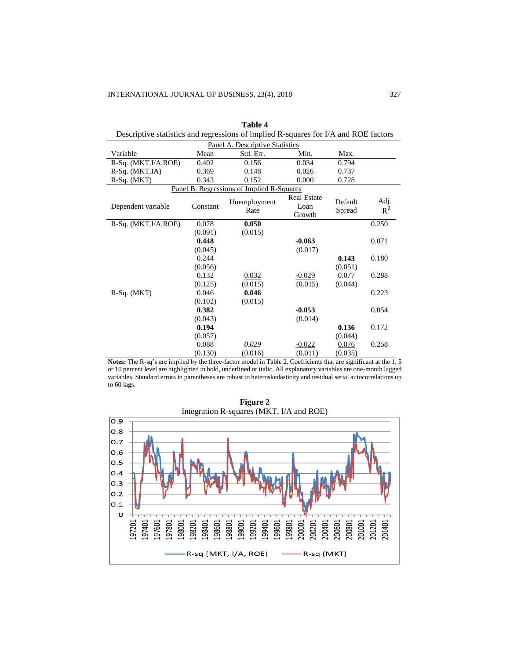| Descriptive statistics and regressions of implied it squares for 1/11 and tvoli nactors |          |                                           |                                      |                   |               |  |  |  |  |  |
|-----------------------------------------------------------------------------------------|----------|-------------------------------------------|--------------------------------------|-------------------|---------------|--|--|--|--|--|
| Panel A. Descriptive Statistics                                                         |          |                                           |                                      |                   |               |  |  |  |  |  |
| Variable                                                                                | Mean     | Std. Err.                                 | Min.                                 | Max.              |               |  |  |  |  |  |
| $R-Sq. (MKT, I/A, ROE)$                                                                 | 0.402    | 0.156                                     | 0.034                                | 0.794             |               |  |  |  |  |  |
| $R-Sq. (MKT,IA)$                                                                        | 0.369    | 0.148                                     | 0.026                                | 0.737             |               |  |  |  |  |  |
| $R-Sq. (MKT)$                                                                           | 0.343    | 0.152                                     | 0.000                                | 0.728             |               |  |  |  |  |  |
|                                                                                         |          | Panel B. Regressions of Implied R-Squares |                                      |                   |               |  |  |  |  |  |
| Dependent variable                                                                      | Constant | Unemployment<br>Rate                      | <b>Real Estate</b><br>Loan<br>Growth | Default<br>Spread | Adj.<br>$R^2$ |  |  |  |  |  |
| R-Sq. (MKT, I/A, ROE)                                                                   | 0.078    | 0.050                                     |                                      |                   | 0.250         |  |  |  |  |  |
|                                                                                         | (0.091)  | (0.015)                                   |                                      |                   |               |  |  |  |  |  |
|                                                                                         | 0.448    |                                           | $-0.063$                             |                   | 0.071         |  |  |  |  |  |
|                                                                                         | (0.045)  |                                           | (0.017)                              |                   |               |  |  |  |  |  |
|                                                                                         | 0.244    |                                           |                                      | 0.143             | 0.180         |  |  |  |  |  |
|                                                                                         | (0.056)  |                                           |                                      | (0.051)           |               |  |  |  |  |  |
|                                                                                         | 0.132    | 0.032                                     | $-0.029$                             | 0.077             | 0.288         |  |  |  |  |  |
|                                                                                         | (0.125)  | (0.015)                                   | (0.015)                              | (0.044)           |               |  |  |  |  |  |
| R-Sq. (MKT)                                                                             | 0.046    | 0.046                                     |                                      |                   | 0.223         |  |  |  |  |  |
|                                                                                         | (0.102)  | (0.015)                                   |                                      |                   |               |  |  |  |  |  |
|                                                                                         | 0.382    |                                           | $-0.053$                             |                   | 0.054         |  |  |  |  |  |
|                                                                                         | (0.043)  |                                           | (0.014)                              |                   |               |  |  |  |  |  |
|                                                                                         | 0.194    |                                           |                                      | 0.136             | 0.172         |  |  |  |  |  |
|                                                                                         | (0.057)  |                                           |                                      | (0.044)           |               |  |  |  |  |  |
|                                                                                         | 0.088    | 0.029                                     | $-0.022$                             | 0.076             | 0.258         |  |  |  |  |  |
|                                                                                         | (0.130)  | (0.016)                                   | (0.011)                              | (0.035)           |               |  |  |  |  |  |

**Table 4** Descriptive statistics and regressions of implied R-squares for I/A and ROE factors

**Notes:** The R-sq's are implied by the three-factor model in Table 2. Coefficients that are significant at the 1, 5 or 10 percent level are highlighted in bold, underlined or italic. All explanatory variables are one-month lagged variables. Standard errors in parentheses are robust to heteroskedasticity and residual serial autocorrelations up to 60 lags.

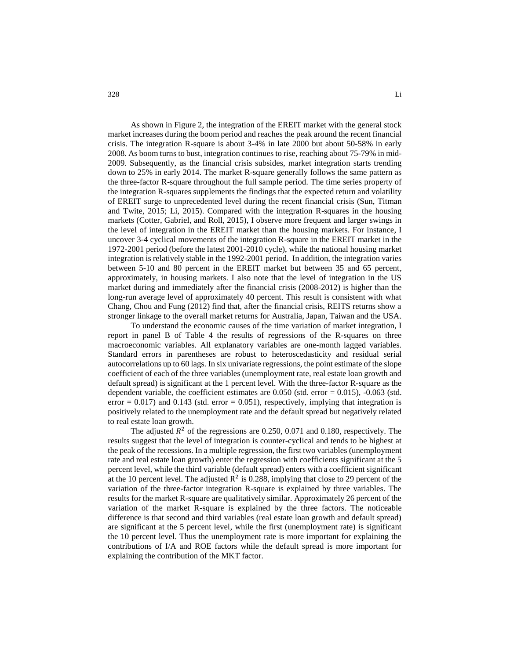As shown in Figure 2, the integration of the EREIT market with the general stock market increases during the boom period and reaches the peak around the recent financial crisis. The integration R-square is about 3-4% in late 2000 but about 50-58% in early 2008. As boom turns to bust, integration continues to rise, reaching about 75-79% in mid-2009. Subsequently, as the financial crisis subsides, market integration starts trending down to 25% in early 2014. The market R-square generally follows the same pattern as the three-factor R-square throughout the full sample period. The time series property of the integration R-squares supplements the findings that the expected return and volatility of EREIT surge to unprecedented level during the recent financial crisis (Sun, Titman and Twite, 2015; Li, 2015). Compared with the integration R-squares in the housing markets (Cotter, Gabriel, and Roll, 2015), I observe more frequent and larger swings in the level of integration in the EREIT market than the housing markets. For instance, I uncover 3-4 cyclical movements of the integration R-square in the EREIT market in the 1972-2001 period (before the latest 2001-2010 cycle), while the national housing market integration is relatively stable in the 1992-2001 period. In addition, the integration varies between 5-10 and 80 percent in the EREIT market but between 35 and 65 percent, approximately, in housing markets. I also note that the level of integration in the US market during and immediately after the financial crisis (2008-2012) is higher than the long-run average level of approximately 40 percent. This result is consistent with what Chang, Chou and Fung (2012) find that, after the financial crisis, REITS returns show a stronger linkage to the overall market returns for Australia, Japan, Taiwan and the USA.

To understand the economic causes of the time variation of market integration, I report in panel B of Table 4 the results of regressions of the R-squares on three macroeconomic variables. All explanatory variables are one-month lagged variables. Standard errors in parentheses are robust to heteroscedasticity and residual serial autocorrelations up to 60 lags. In six univariate regressions, the point estimate of the slope coefficient of each of the three variables (unemployment rate, real estate loan growth and default spread) is significant at the 1 percent level. With the three-factor R-square as the dependent variable, the coefficient estimates are  $0.050$  (std. error =  $0.015$ ),  $-0.063$  (std. error  $= 0.017$ ) and 0.143 (std. error  $= 0.051$ ), respectively, implying that integration is positively related to the unemployment rate and the default spread but negatively related to real estate loan growth.

The adjusted  $R^2$  of the regressions are 0.250, 0.071 and 0.180, respectively. The results suggest that the level of integration is counter-cyclical and tends to be highest at the peak of the recessions. In a multiple regression, the first two variables (unemployment rate and real estate loan growth) enter the regression with coefficients significant at the 5 percent level, while the third variable (default spread) enters with a coefficient significant at the 10 percent level. The adjusted  $\mathbb{R}^2$  is 0.288, implying that close to 29 percent of the variation of the three-factor integration R-square is explained by three variables. The results for the market R-square are qualitatively similar. Approximately 26 percent of the variation of the market R-square is explained by the three factors. The noticeable difference is that second and third variables (real estate loan growth and default spread) are significant at the 5 percent level, while the first (unemployment rate) is significant the 10 percent level. Thus the unemployment rate is more important for explaining the contributions of I/A and ROE factors while the default spread is more important for explaining the contribution of the MKT factor.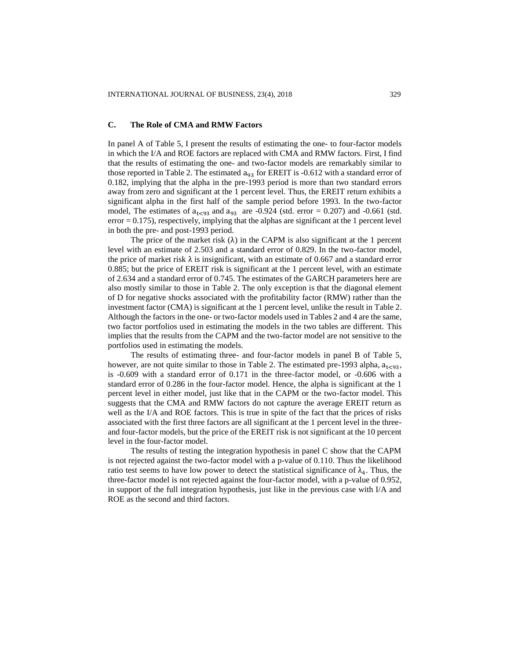### **C. The Role of CMA and RMW Factors**

In panel A of Table 5, I present the results of estimating the one- to four-factor models in which the I/A and ROE factors are replaced with CMA and RMW factors. First, I find that the results of estimating the one- and two-factor models are remarkably similar to those reported in Table 2. The estimated  $a_{93}$  for EREIT is -0.612 with a standard error of 0.182, implying that the alpha in the pre-1993 period is more than two standard errors away from zero and significant at the 1 percent level. Thus, the EREIT return exhibits a significant alpha in the first half of the sample period before 1993. In the two-factor model, The estimates of  $a_{t<93}$  and  $a_{93}$  are -0.924 (std. error = 0.207) and -0.661 (std.  $error = 0.175$ , respectively, implying that the alphas are significant at the 1 percent level in both the pre- and post-1993 period.

The price of the market risk  $(\lambda)$  in the CAPM is also significant at the 1 percent level with an estimate of 2.503 and a standard error of 0.829. In the two-factor model, the price of market risk  $\lambda$  is insignificant, with an estimate of 0.667 and a standard error 0.885; but the price of EREIT risk is significant at the 1 percent level, with an estimate of 2.634 and a standard error of 0.745. The estimates of the GARCH parameters here are also mostly similar to those in Table 2. The only exception is that the diagonal element of D for negative shocks associated with the profitability factor (RMW) rather than the investment factor (CMA) is significant at the 1 percent level, unlike the result in Table 2. Although the factors in the one- or two-factor models used in Tables 2 and 4 are the same, two factor portfolios used in estimating the models in the two tables are different. This implies that the results from the CAPM and the two-factor model are not sensitive to the portfolios used in estimating the models.

The results of estimating three- and four-factor models in panel B of Table 5, however, are not quite similar to those in Table 2. The estimated pre-1993 alpha,  $a_{1\leq 93}$ , is -0.609 with a standard error of 0.171 in the three-factor model, or -0.606 with a standard error of 0.286 in the four-factor model. Hence, the alpha is significant at the 1 percent level in either model, just like that in the CAPM or the two-factor model. This suggests that the CMA and RMW factors do not capture the average EREIT return as well as the I/A and ROE factors. This is true in spite of the fact that the prices of risks associated with the first three factors are all significant at the 1 percent level in the threeand four-factor models, but the price of the EREIT risk is not significant at the 10 percent level in the four-factor model.

The results of testing the integration hypothesis in panel C show that the CAPM is not rejected against the two-factor model with a p-value of 0.110. Thus the likelihood ratio test seems to have low power to detect the statistical significance of  $\lambda_4$ . Thus, the three-factor model is not rejected against the four-factor model, with a p-value of 0.952, in support of the full integration hypothesis, just like in the previous case with I/A and ROE as the second and third factors.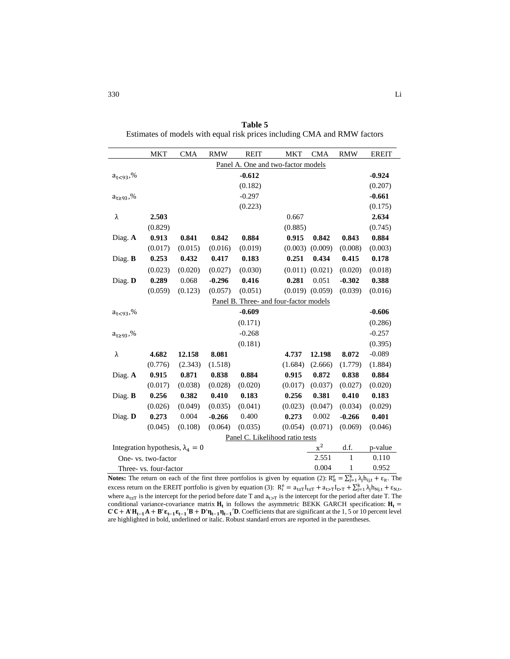|                                    | MKT                                     | <b>CMA</b> | <b>RMW</b> | <b>REIT</b> | <b>MKT</b>                             | <b>CMA</b>          | <b>RMW</b>   | <b>EREIT</b> |  |  |
|------------------------------------|-----------------------------------------|------------|------------|-------------|----------------------------------------|---------------------|--------------|--------------|--|--|
| Panel A. One and two-factor models |                                         |            |            |             |                                        |                     |              |              |  |  |
| a <sub>t&lt;93</sub> ,%            |                                         |            |            | $-0.612$    |                                        |                     |              | $-0.924$     |  |  |
|                                    |                                         |            |            | (0.182)     |                                        |                     |              | (0.207)      |  |  |
| a <sub>t≥93</sub> ,%               |                                         |            |            | $-0.297$    |                                        |                     |              | $-0.661$     |  |  |
|                                    |                                         |            |            | (0.223)     |                                        |                     |              | (0.175)      |  |  |
| λ                                  | 2.503                                   |            |            |             | 0.667                                  |                     |              | 2.634        |  |  |
|                                    | (0.829)                                 |            |            |             | (0.885)                                |                     |              | (0.745)      |  |  |
| Diag. A                            | 0.913                                   | 0.841      | 0.842      | 0.884       | 0.915                                  | 0.842               | 0.843        | 0.884        |  |  |
|                                    | (0.017)                                 | (0.015)    | (0.016)    | (0.019)     | (0.003)                                | (0.009)             | (0.008)      | (0.003)      |  |  |
| Diag. B                            | 0.253                                   | 0.432      | 0.417      | 0.183       | 0.251                                  | 0.434               | 0.415        | 0.178        |  |  |
|                                    | (0.023)                                 | (0.020)    | (0.027)    | (0.030)     | (0.011)                                | (0.021)             | (0.020)      | (0.018)      |  |  |
| Diag. D                            | 0.289                                   | 0.068      | $-0.296$   | 0.416       | 0.281                                  | 0.051               | $-0.302$     | 0.388        |  |  |
|                                    | (0.059)                                 | (0.123)    | (0.057)    | (0.051)     |                                        | $(0.019)$ $(0.059)$ | (0.039)      | (0.016)      |  |  |
|                                    |                                         |            |            |             | Panel B. Three- and four-factor models |                     |              |              |  |  |
| a <sub>t&lt;93</sub> ,%            |                                         |            |            | $-0.609$    |                                        |                     |              | $-0.606$     |  |  |
|                                    |                                         |            |            | (0.171)     |                                        |                     |              | (0.286)      |  |  |
| $a_{t \geq 93},\%$                 |                                         |            |            | $-0.268$    |                                        |                     |              | $-0.257$     |  |  |
|                                    |                                         |            |            | (0.181)     |                                        |                     |              | (0.395)      |  |  |
| λ                                  | 4.682                                   | 12.158     | 8.081      |             | 4.737                                  | 12.198              | 8.072        | $-0.089$     |  |  |
|                                    | (0.776)                                 | (2.343)    | (1.518)    |             | (1.684)                                | (2.666)             | (1.779)      | (1.884)      |  |  |
| Diag. A                            | 0.915                                   | 0.871      | 0.838      | 0.884       | 0.915                                  | 0.872               | 0.838        | 0.884        |  |  |
|                                    | (0.017)                                 | (0.038)    | (0.028)    | (0.020)     | (0.017)                                | (0.037)             | (0.027)      | (0.020)      |  |  |
| Diag. B                            | 0.256                                   | 0.382      | 0.410      | 0.183       | 0.256                                  | 0.381               | 0.410        | 0.183        |  |  |
|                                    | (0.026)                                 | (0.049)    | (0.035)    | (0.041)     | (0.023)                                | (0.047)             | (0.034)      | (0.029)      |  |  |
| Diag. D                            | 0.273                                   | 0.004      | $-0.266$   | 0.400       | 0.273                                  | 0.002               | $-0.266$     | 0.401        |  |  |
|                                    | (0.045)                                 | (0.108)    | (0.064)    | (0.035)     | (0.054)                                | (0.071)             | (0.069)      | (0.046)      |  |  |
|                                    |                                         |            |            |             | Panel C. Likelihood ratio tests        |                     |              |              |  |  |
|                                    | Integration hypothesis, $\lambda_4 = 0$ |            |            |             |                                        | $x^2$               | d.f.         | p-value      |  |  |
|                                    | One- vs. two-factor                     |            |            |             |                                        | 2.551               | $\mathbf{1}$ | 0.110        |  |  |

**Table 5** Estimates of models with equal risk prices including CMA and RMW factors

**Notes:** The return on each of the first three portfolios is given by equation (2):  $R_{it}^e = \sum_{j=1}^{k} \lambda_j h_{ij,t} + \varepsilon_{it}$ . The excess return on the EREIT portfolio is given by equation (3):  $R_i^e = a_{t \le T} I_{t \le T} + a_{t \ge T} I_{t \ge T} + \sum_{j=1}^k \lambda_j h_{Nj,t} + \varepsilon_{N,t}$ where  $a_{t\leq T}$  is the intercept for the period before date T and  $a_{t>T}$  is the intercept for the period after date T. The conditional variance-covariance matrix  $H_t$  in follows the asymmetric BEKK GARCH specification:  $H_t$  =  $C'C + A'H_{t-1}A + B'\epsilon_{t-1}\epsilon_{t-1}'B + D'\eta_{t-1}\eta_{t-1}'D$ . Coefficients that are significant at the 1,5 or 10 percent level are highlighted in bold, underlined or italic. Robust standard errors are reported in the parentheses.

Three- vs. four-factor 0.004 1 0.952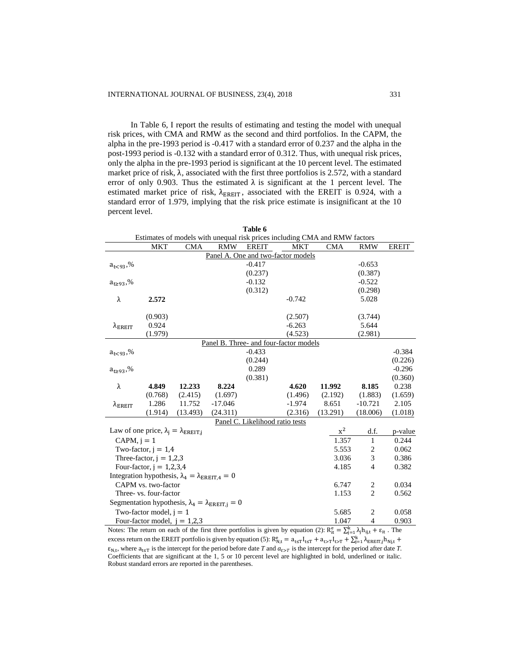In Table 6, I report the results of estimating and testing the model with unequal risk prices, with CMA and RMW as the second and third portfolios. In the CAPM, the alpha in the pre-1993 period is -0.417 with a standard error of 0.237 and the alpha in the post-1993 period is -0.132 with a standard error of 0.312. Thus, with unequal risk prices, only the alpha in the pre-1993 period is significant at the 10 percent level. The estimated market price of risk,  $\lambda$ , associated with the first three portfolios is 2.572, with a standard error of only 0.903. Thus the estimated  $\lambda$  is significant at the 1 percent level. The estimated market price of risk,  $\lambda_{\text{EREIT}}$ , associated with the EREIT is 0.924, with a standard error of 1.979, implying that the risk price estimate is insignificant at the 10 percent level.

**Table 6** 

|                       |                                                          |                                                                    |                                                                     | 1 apie o                        |                                        | Estimates of models with unequal risk prices including CMA and RMW factors |                  |              |
|-----------------------|----------------------------------------------------------|--------------------------------------------------------------------|---------------------------------------------------------------------|---------------------------------|----------------------------------------|----------------------------------------------------------------------------|------------------|--------------|
|                       | MKT                                                      | <b>CMA</b>                                                         | <b>RMW</b>                                                          | <b>EREIT</b>                    | <b>MKT</b>                             | <b>CMA</b>                                                                 | <b>RMW</b>       | <b>EREIT</b> |
|                       |                                                          |                                                                    |                                                                     |                                 | Panel A. One and two-factor models     |                                                                            |                  |              |
| $a_{t<93}$ ,%         |                                                          |                                                                    |                                                                     | $-0.417$                        |                                        |                                                                            | $-0.653$         |              |
|                       |                                                          |                                                                    |                                                                     | (0.237)                         |                                        |                                                                            | (0.387)          |              |
| $a_{t \ge 93}$ ,%     |                                                          |                                                                    |                                                                     | $-0.132$                        |                                        |                                                                            | $-0.522$         |              |
|                       |                                                          |                                                                    |                                                                     | (0.312)                         |                                        |                                                                            | (0.298)          |              |
| λ                     | 2.572                                                    |                                                                    |                                                                     |                                 | $-0.742$                               |                                                                            | 5.028            |              |
|                       |                                                          |                                                                    |                                                                     |                                 |                                        |                                                                            |                  |              |
|                       | (0.903)<br>0.924                                         |                                                                    |                                                                     |                                 | (2.507)<br>$-6.263$                    |                                                                            | (3.744)<br>5.644 |              |
| $\lambda_{\rm EREIT}$ | (1.979)                                                  |                                                                    |                                                                     |                                 | (4.523)                                |                                                                            | (2.981)          |              |
|                       |                                                          |                                                                    |                                                                     |                                 | Panel B. Three- and four-factor models |                                                                            |                  |              |
| $a_{t<93}$ ,%         |                                                          |                                                                    |                                                                     | $-0.433$                        |                                        |                                                                            |                  | $-0.384$     |
|                       |                                                          |                                                                    |                                                                     | (0.244)                         |                                        |                                                                            |                  | (0.226)      |
| $a_{t \geq 93}$ ,%    |                                                          |                                                                    |                                                                     | 0.289                           |                                        |                                                                            |                  | $-0.296$     |
|                       |                                                          |                                                                    |                                                                     | (0.381)                         |                                        |                                                                            |                  | (0.360)      |
| λ                     | 4.849                                                    | 12.233                                                             | 8.224                                                               |                                 | 4.620                                  | 11.992                                                                     | 8.185            | 0.238        |
|                       | (0.768)                                                  | (2.415)                                                            | (1.697)                                                             |                                 | (1.496)                                | (2.192)                                                                    | (1.883)          | (1.659)      |
| $\lambda_{\rm EREIT}$ | 1.286                                                    | 11.752                                                             | $-17.046$                                                           |                                 | $-1.974$                               | 8.651                                                                      | $-10.721$        | 2.105        |
|                       | (1.914)                                                  | (13.493)                                                           | (24.311)                                                            |                                 | (2.316)                                | (13.291)                                                                   | (18.006)         | (1.018)      |
|                       |                                                          |                                                                    |                                                                     | Panel C. Likelihood ratio tests |                                        |                                                                            |                  |              |
|                       | Law of one price, $\lambda_i = \lambda_{\text{EREIT},i}$ |                                                                    |                                                                     |                                 |                                        | $x^2$                                                                      | d.f.             | p-value      |
| CAPM, $i = 1$         |                                                          |                                                                    |                                                                     |                                 |                                        | 1.357                                                                      | 1                | 0.244        |
|                       | Two-factor, $j = 1,4$                                    |                                                                    |                                                                     |                                 |                                        | 5.553                                                                      | 2                | 0.062        |
|                       | Three-factor, $j = 1,2,3$                                |                                                                    |                                                                     |                                 |                                        | 3.036                                                                      | 3                | 0.386        |
|                       | Four-factor, $j = 1,2,3,4$                               |                                                                    |                                                                     |                                 |                                        | 4.185                                                                      | $\overline{4}$   | 0.382        |
|                       |                                                          | Integration hypothesis, $\lambda_4 = \lambda_{\text{EREIT},4} = 0$ |                                                                     |                                 |                                        |                                                                            |                  |              |
|                       | CAPM vs. two-factor                                      |                                                                    |                                                                     |                                 |                                        | 6.747                                                                      | 2                | 0.034        |
|                       | Three- vs. four-factor                                   |                                                                    |                                                                     |                                 |                                        | 1.153                                                                      | $\overline{2}$   | 0.562        |
|                       |                                                          |                                                                    | Segmentation hypothesis, $\lambda_4 = \lambda_{\text{EREIT},j} = 0$ |                                 |                                        |                                                                            |                  |              |
|                       | Two-factor model, $j = 1$                                |                                                                    |                                                                     |                                 |                                        | 5.685                                                                      | 2                | 0.058        |
|                       | Four-factor model, $j = 1,2,3$                           |                                                                    |                                                                     |                                 |                                        | 1.047                                                                      | 4                | 0.903        |

Notes: The return on each of the first three portfolios is given by equation (2):  $R_{it}^e = \sum_{j=1}^{k} \lambda_j h_{ij,t} + \varepsilon_{it}$ . The excess return on the EREIT portfolio is given by equation (5):  $R_{N,t}^e = a_{t \le T} I_{t \le T} + a_{t \ge T} I_{t \ge T} + \sum_{j=1}^{k} \lambda_{EREIT,j} h_{Nj,t}$  +  $\varepsilon_{N,t}$ , where  $a_{t \leq T}$  is the intercept for the period before date *T* and  $a_{t>T}$  is the intercept for the period after date *T*. Coefficients that are significant at the 1, 5 or 10 percent level are highlighted in bold, underlined or italic. Robust standard errors are reported in the parentheses.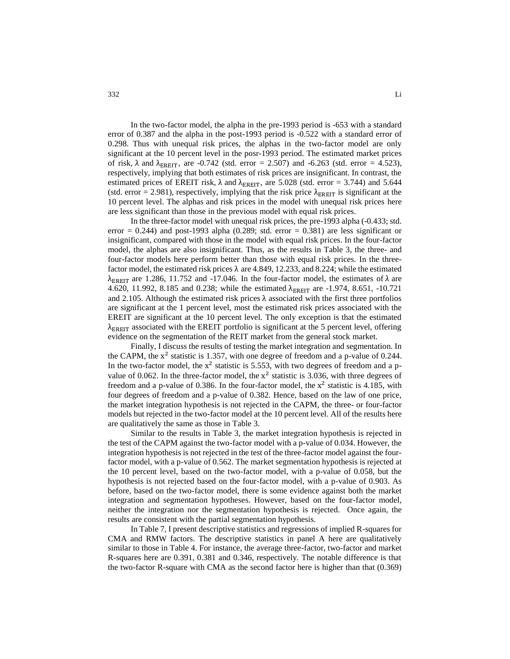In the two-factor model, the alpha in the pre-1993 period is -653 with a standard error of 0.387 and the alpha in the post-1993 period is -0.522 with a standard error of 0.298. Thus with unequal risk prices, the alphas in the two-factor model are only significant at the 10 percent level in the posr-1993 period. The estimated market prices of risk,  $\lambda$  and  $\lambda_{EREIT}$ , are -0.742 (std. error = 2.507) and -6.263 (std. error = 4.523), respectively, implying that both estimates of risk prices are insignificant. In contrast, the estimated prices of EREIT risk,  $\lambda$  and  $\lambda_{EREIT}$ , are 5.028 (std. error = 3.744) and 5.644 (std. error = 2.981), respectively, implying that the risk price  $\lambda_{EREIT}$  is significant at the 10 percent level. The alphas and risk prices in the model with unequal risk prices here are less significant than those in the previous model with equal risk prices.

In the three-factor model with unequal risk prices, the pre-1993 alpha (-0.433; std. error  $= 0.244$ ) and post-1993 alpha (0.289; std. error  $= 0.381$ ) are less significant or insignificant, compared with those in the model with equal risk prices. In the four-factor model, the alphas are also insignificant. Thus, as the results in Table 3, the three- and four-factor models here perform better than those with equal risk prices. In the threefactor model, the estimated risk prices  $\lambda$  are 4.849, 12.233, and 8.224; while the estimated λ<sub>EREIT</sub> are 1.286, 11.752 and -17.046. In the four-factor model, the estimates of λ are 4.620, 11.992, 8.185 and 0.238; while the estimated  $\lambda_{\text{EREIT}}$  are -1.974, 8.651, -10.721 and 2.105. Although the estimated risk prices  $\lambda$  associated with the first three portfolios are significant at the 1 percent level, most the estimated risk prices associated with the EREIT are significant at the 10 percent level. The only exception is that the estimated  $\lambda_{\text{ERFIT}}$  associated with the EREIT portfolio is significant at the 5 percent level, offering evidence on the segmentation of the REIT market from the general stock market.

Finally, I discuss the results of testing the market integration and segmentation. In the CAPM, the  $x^2$  statistic is 1.357, with one degree of freedom and a p-value of 0.244. In the two-factor model, the  $x^2$  statistic is 5.553, with two degrees of freedom and a pvalue of 0.062. In the three-factor model, the  $x^2$  statistic is 3.036, with three degrees of freedom and a p-value of 0.386. In the four-factor model, the  $x^2$  statistic is 4.185, with four degrees of freedom and a p-value of 0.382. Hence, based on the law of one price, the market integration hypothesis is not rejected in the CAPM, the three- or four-factor models but rejected in the two-factor model at the 10 percent level. All of the results here are qualitatively the same as those in Table 3.

Similar to the results in Table 3, the market integration hypothesis is rejected in the test of the CAPM against the two-factor model with a p-value of 0.034. However, the integration hypothesis is not rejected in the test of the three-factor model against the fourfactor model, with a p-value of 0.562. The market segmentation hypothesis is rejected at the 10 percent level, based on the two-factor model, with a p-value of 0.058, but the hypothesis is not rejected based on the four-factor model, with a p-value of 0.903. As before, based on the two-factor model, there is some evidence against both the market integration and segmentation hypotheses. However, based on the four-factor model, neither the integration nor the segmentation hypothesis is rejected. Once again, the results are consistent with the partial segmentation hypothesis.

In Table 7, I present descriptive statistics and regressions of implied R-squares for CMA and RMW factors. The descriptive statistics in panel A here are qualitatively similar to those in Table 4. For instance, the average three-factor, two-factor and market R-squares here are 0.391, 0.381 and 0.346, respectively. The notable difference is that the two-factor R-square with CMA as the second factor here is higher than that (0.369)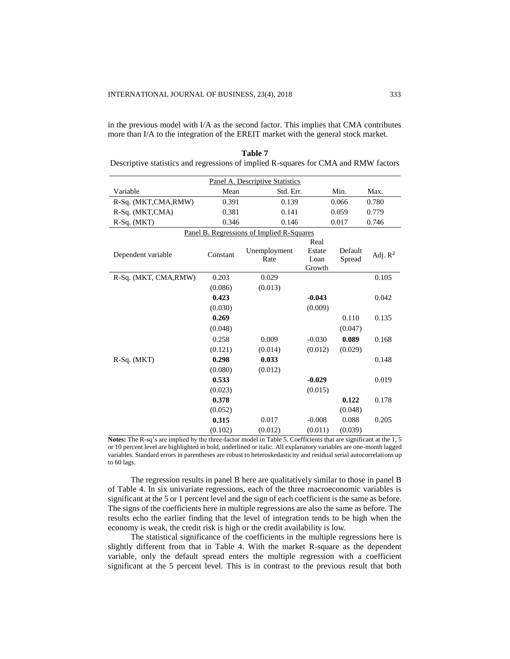in the previous model with I/A as the second factor. This implies that CMA contributes more than I/A to the integration of the EREIT market with the general stock market.

|                      |          | Panel A. Descriptive Statistics           |                          |         |            |  |
|----------------------|----------|-------------------------------------------|--------------------------|---------|------------|--|
| Variable             | Mean     | Std. Err.                                 |                          | Min.    | Max.       |  |
| R-Sq. (MKT,CMA,RMW)  | 0.391    | 0.139                                     |                          | 0.066   | 0.780      |  |
| R-Sq. (MKT,CMA)      | 0.381    | 0.141                                     |                          | 0.059   | 0.779      |  |
| R-Sq. (MKT)          | 0.346    | 0.146                                     |                          | 0.017   | 0.746      |  |
|                      |          | Panel B. Regressions of Implied R-Squares |                          |         |            |  |
|                      |          |                                           | Real                     |         |            |  |
| Dependent variable   | Constant | Unemployment                              | Estate                   | Default | Adj. $R^2$ |  |
|                      |          | Rate                                      | Loan<br>Spread<br>Growth |         |            |  |
| R-Sq. (MKT, CMA,RMW) | 0.203    | 0.029                                     |                          |         | 0.105      |  |
|                      | (0.086)  | (0.013)                                   |                          |         |            |  |
|                      | 0.423    |                                           | $-0.043$                 |         | 0.042      |  |
|                      | (0.030)  |                                           | (0.009)                  |         |            |  |
|                      | 0.269    |                                           |                          | 0.110   | 0.135      |  |
|                      | (0.048)  |                                           |                          | (0.047) |            |  |
|                      | 0.258    | 0.009                                     | $-0.030$                 | 0.089   | 0.168      |  |
|                      | (0.121)  | (0.014)                                   | (0.012)                  | (0.029) |            |  |
| $R-Sq. (MKT)$        | 0.298    | 0.033                                     |                          |         | 0.148      |  |
|                      | (0.080)  | (0.012)                                   |                          |         |            |  |
|                      | 0.533    |                                           | $-0.029$                 |         | 0.019      |  |
|                      | (0.023)  |                                           | (0.015)                  |         |            |  |
|                      | 0.378    |                                           |                          | 0.122   | 0.178      |  |
|                      | (0.052)  |                                           |                          | (0.048) |            |  |
|                      | 0.315    | 0.017                                     | $-0.008$                 | 0.088   | 0.205      |  |
|                      | (0.102)  | (0.012)                                   | (0.011)                  | (0.039) |            |  |

| Table 7                                                                             |  |
|-------------------------------------------------------------------------------------|--|
| Descriptive statistics and regressions of implied R-squares for CMA and RMW factors |  |

**Notes:** The R-sq's are implied by the three-factor model in Table 5. Coefficients that are significant at the 1, 5 or 10 percent level are highlighted in bold, underlined or italic. All explanatory variables are one-month lagged variables. Standard errors in parentheses are robust to heteroskedasticity and residual serial autocorrelations up to 60 lags.

The regression results in panel B here are qualitatively similar to those in panel B of Table 4. In six univariate regressions, each of the three macroeconomic variables is significant at the 5 or 1 percent level and the sign of each coefficient is the same as before. The signs of the coefficients here in multiple regressions are also the same as before. The results echo the earlier finding that the level of integration tends to be high when the economy is weak, the credit risk is high or the credit availability is low.

The statistical significance of the coefficients in the multiple regressions here is slightly different from that in Table 4. With the market R-square as the dependent variable, only the default spread enters the multiple regression with a coefficient significant at the 5 percent level. This is in contrast to the previous result that both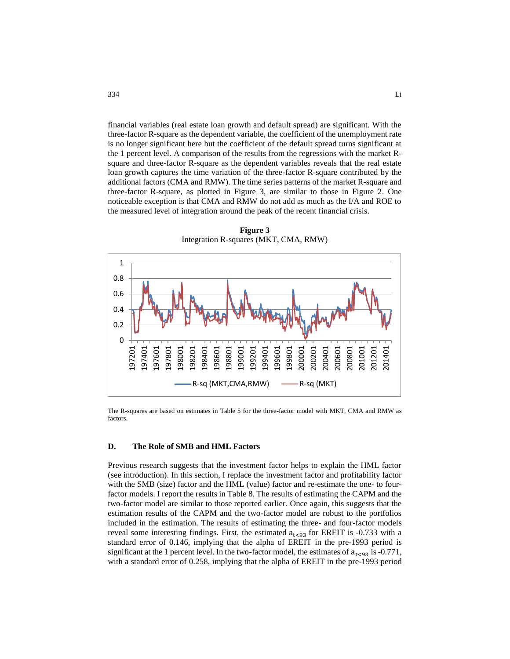financial variables (real estate loan growth and default spread) are significant. With the three-factor R-square as the dependent variable, the coefficient of the unemployment rate is no longer significant here but the coefficient of the default spread turns significant at the 1 percent level. A comparison of the results from the regressions with the market Rsquare and three-factor R-square as the dependent variables reveals that the real estate loan growth captures the time variation of the three-factor R-square contributed by the additional factors (CMA and RMW). The time series patterns of the market R-square and three-factor R-square, as plotted in Figure 3, are similar to those in Figure 2. One noticeable exception is that CMA and RMW do not add as much as the I/A and ROE to the measured level of integration around the peak of the recent financial crisis.

0 0.2 0.4 0.6 0.8 1 197201 197401 197601 197801 198001 198201 198401 198601 198801 199001 199201 199401 199601 199801 200001 200201 200401 200601 200801 201001 201201 201401 R-sq (MKT, CMA, RMW) ------ R-sq (MKT)

**Figure 3** Integration R-squares (MKT, CMA, RMW)

The R-squares are based on estimates in Table 5 for the three-factor model with MKT, CMA and RMW as factors.

### **D. The Role of SMB and HML Factors**

Previous research suggests that the investment factor helps to explain the HML factor (see introduction). In this section, I replace the investment factor and profitability factor with the SMB (size) factor and the HML (value) factor and re-estimate the one- to fourfactor models. I report the results in Table 8. The results of estimating the CAPM and the two-factor model are similar to those reported earlier. Once again, this suggests that the estimation results of the CAPM and the two-factor model are robust to the portfolios included in the estimation. The results of estimating the three- and four-factor models reveal some interesting findings. First, the estimated  $a_{\text{t}<93}$  for EREIT is -0.733 with a standard error of 0.146, implying that the alpha of EREIT in the pre-1993 period is significant at the 1 percent level. In the two-factor model, the estimates of  $a_{1 \leq 93}$  is -0.771, with a standard error of 0.258, implying that the alpha of EREIT in the pre-1993 period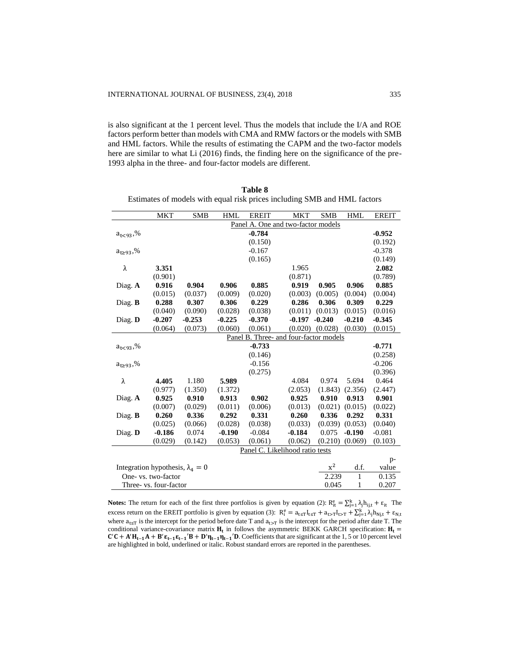is also significant at the 1 percent level. Thus the models that include the I/A and ROE factors perform better than models with CMA and RMW factors or the models with SMB and HML factors. While the results of estimating the CAPM and the two-factor models here are similar to what Li (2016) finds, the finding here on the significance of the pre-1993 alpha in the three- and four-factor models are different.

|                    | <b>MKT</b>                              | <b>SMB</b> | <b>HML</b> | <b>EREIT</b> | <b>MKT</b>                             | <b>SMB</b> | <b>HML</b>   | <b>EREIT</b> |
|--------------------|-----------------------------------------|------------|------------|--------------|----------------------------------------|------------|--------------|--------------|
|                    |                                         |            |            |              | Panel A. One and two-factor models     |            |              |              |
| $a_{t<93}$ ,%      |                                         |            |            | $-0.784$     |                                        |            |              | $-0.952$     |
|                    |                                         |            |            | (0.150)      |                                        |            |              | (0.192)      |
| $a_{t \ge 93}$ ,%  |                                         |            |            | $-0.167$     |                                        |            |              | $-0.378$     |
|                    |                                         |            |            | (0.165)      |                                        |            |              | (0.149)      |
| λ                  | 3.351                                   |            |            |              | 1.965                                  |            |              | 2.082        |
|                    | (0.901)                                 |            |            |              | (0.871)                                |            |              | (0.789)      |
| Diag. $A$          | 0.916                                   | 0.904      | 0.906      | 0.885        | 0.919                                  | 0.905      | 0.906        | 0.885        |
|                    | (0.015)                                 | (0.037)    | (0.009)    | (0.020)      | (0.003)                                | (0.005)    | (0.004)      | (0.004)      |
| Diag. $\bf{B}$     | 0.288                                   | 0.307      | 0.306      | 0.229        | 0.286                                  | 0.306      | 0.309        | 0.229        |
|                    | (0.040)                                 | (0.090)    | (0.028)    | (0.038)      | (0.011)                                | (0.013)    | (0.015)      | (0.016)      |
| Diag. D            | $-0.207$                                | $-0.253$   | $-0.225$   | $-0.370$     | $-0.197$                               | $-0.240$   | $-0.210$     | $-0.345$     |
|                    | (0.064)                                 | (0.073)    | (0.060)    | (0.061)      | (0.020)                                | (0.028)    | (0.030)      | (0.015)      |
|                    |                                         |            |            |              | Panel B. Three- and four-factor models |            |              |              |
| $a_{1 \leq 93}$ ,% |                                         |            |            | $-0.733$     |                                        |            |              | $-0.771$     |
|                    |                                         |            |            | (0.146)      |                                        |            |              | (0.258)      |
| $a_{t \ge 93}$ ,%  |                                         |            |            | $-0.156$     |                                        |            |              | $-0.206$     |
|                    |                                         |            |            | (0.275)      |                                        |            |              | (0.396)      |
| λ                  | 4.405                                   | 1.180      | 5.989      |              | 4.084                                  | 0.974      | 5.694        | 0.464        |
|                    | (0.977)                                 | (1.350)    | (1.372)    |              | (2.053)                                | (1.843)    | (2.356)      | (2.447)      |
| Diag. $A$          | 0.925                                   | 0.910      | 0.913      | 0.902        | 0.925                                  | 0.910      | 0.913        | 0.901        |
|                    | (0.007)                                 | (0.029)    | (0.011)    | (0.006)      | (0.013)                                | (0.021)    | (0.015)      | (0.022)      |
| Diag. $\bf{B}$     | 0.260                                   | 0.336      | 0.292      | 0.331        | 0.260                                  | 0.336      | 0.292        | 0.331        |
|                    | (0.025)                                 | (0.066)    | (0.028)    | (0.038)      | (0.033)                                | (0.039)    | (0.053)      | (0.040)      |
| Diag. $\mathbf{D}$ | $-0.186$                                | 0.074      | $-0.190$   | $-0.084$     | $-0.184$                               | 0.075      | $-0.190$     | $-0.081$     |
|                    | (0.029)                                 | (0.142)    | (0.053)    | (0.061)      | (0.062)                                | (0.210)    | (0.069)      | (0.103)      |
|                    |                                         |            |            |              | Panel C. Likelihood ratio tests        |            |              |              |
|                    |                                         |            |            |              |                                        |            |              | $p-$         |
|                    | Integration hypothesis, $\lambda_4 = 0$ |            |            |              |                                        | $x^2$      | d.f.         | value        |
|                    | One- vs. two-factor                     |            |            |              |                                        | 2.239      | $\mathbf{1}$ | 0.135        |
|                    | Three- vs. four-factor                  |            |            |              |                                        | 0.045      | 1            | 0.207        |

**Table 8** Estimates of models with equal risk prices including SMB and HML factors

**Notes:** The return for each of the first three portfolios is given by equation (2):  $R_{it}^e = \sum_{j=1}^{k} \lambda_j h_{ij,t} + \varepsilon_{it}$  The excess return on the EREIT portfolio is given by equation (3):  $R_i^e = a_{t \le T} I_{t \le T} + a_{t \ge T} I_{t \ge T} + \sum_{j=1}^k \lambda_j h_{Nj,t} + \varepsilon_{N,t}$ where  $a_{tsT}$  is the intercept for the period before date T and  $a_{tsT}$  is the intercept for the period after date T. The conditional variance-covariance matrix  $H_t$  in follows the asymmetric BEKK GARCH specification:  $H_t$  =  $C'C + A'H_{t-1}A + B'\epsilon_{t-1}\epsilon_{t-1}'B + D'\eta_{t-1}\eta_{t-1}'D$ . Coefficients that are significant at the 1,5 or 10 percent level are highlighted in bold, underlined or italic. Robust standard errors are reported in the parentheses.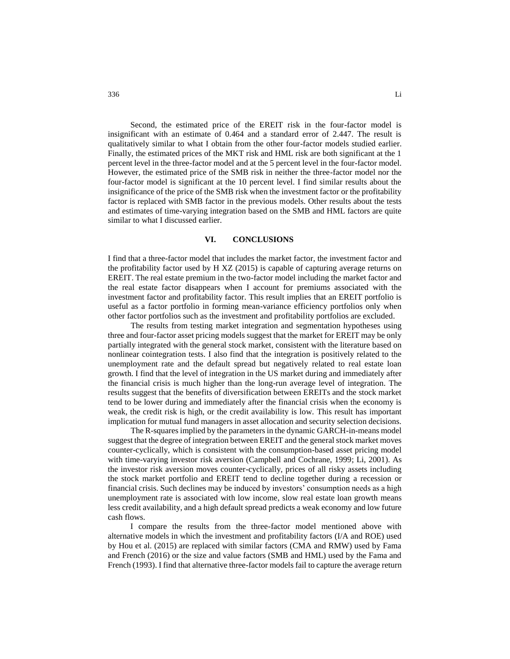Second, the estimated price of the EREIT risk in the four-factor model is insignificant with an estimate of 0.464 and a standard error of 2.447. The result is qualitatively similar to what I obtain from the other four-factor models studied earlier. Finally, the estimated prices of the MKT risk and HML risk are both significant at the 1 percent level in the three-factor model and at the 5 percent level in the four-factor model. However, the estimated price of the SMB risk in neither the three-factor model nor the four-factor model is significant at the 10 percent level. I find similar results about the insignificance of the price of the SMB risk when the investment factor or the profitability factor is replaced with SMB factor in the previous models. Other results about the tests and estimates of time-varying integration based on the SMB and HML factors are quite similar to what I discussed earlier.

### **VI. CONCLUSIONS**

I find that a three-factor model that includes the market factor, the investment factor and the profitability factor used by H XZ (2015) is capable of capturing average returns on EREIT. The real estate premium in the two-factor model including the market factor and the real estate factor disappears when I account for premiums associated with the investment factor and profitability factor. This result implies that an EREIT portfolio is useful as a factor portfolio in forming mean-variance efficiency portfolios only when other factor portfolios such as the investment and profitability portfolios are excluded.

The results from testing market integration and segmentation hypotheses using three and four-factor asset pricing models suggest that the market for EREIT may be only partially integrated with the general stock market, consistent with the literature based on nonlinear cointegration tests. I also find that the integration is positively related to the unemployment rate and the default spread but negatively related to real estate loan growth. I find that the level of integration in the US market during and immediately after the financial crisis is much higher than the long-run average level of integration. The results suggest that the benefits of diversification between EREITs and the stock market tend to be lower during and immediately after the financial crisis when the economy is weak, the credit risk is high, or the credit availability is low. This result has important implication for mutual fund managers in asset allocation and security selection decisions.

The R-squares implied by the parameters in the dynamic GARCH-in-means model suggest that the degree of integration between EREIT and the general stock market moves counter-cyclically, which is consistent with the consumption-based asset pricing model with time-varying investor risk aversion (Campbell and Cochrane, 1999; Li, 2001). As the investor risk aversion moves counter-cyclically, prices of all risky assets including the stock market portfolio and EREIT tend to decline together during a recession or financial crisis. Such declines may be induced by investors' consumption needs as a high unemployment rate is associated with low income, slow real estate loan growth means less credit availability, and a high default spread predicts a weak economy and low future cash flows.

I compare the results from the three-factor model mentioned above with alternative models in which the investment and profitability factors (I/A and ROE) used by Hou et al. (2015) are replaced with similar factors (CMA and RMW) used by Fama and French (2016) or the size and value factors (SMB and HML) used by the Fama and French (1993). I find that alternative three-factor models fail to capture the average return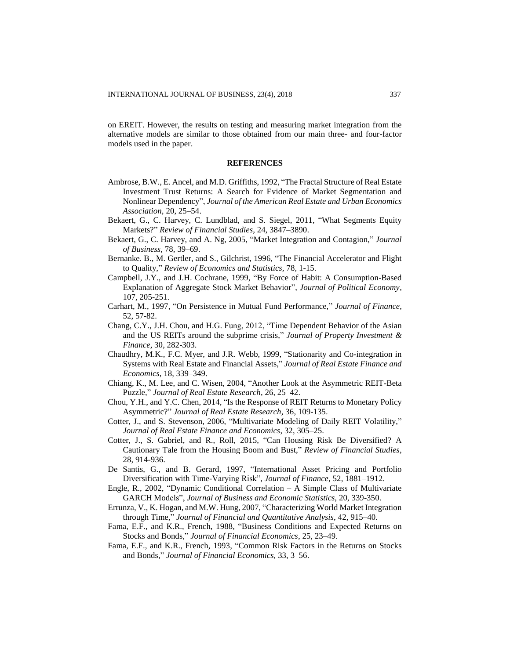on EREIT. However, the results on testing and measuring market integration from the alternative models are similar to those obtained from our main three- and four-factor models used in the paper.

### **REFERENCES**

- Ambrose, B.W., E. Ancel, and M.D. Griffiths, 1992, "The Fractal Structure of Real Estate Investment Trust Returns: A Search for Evidence of Market Segmentation and Nonlinear Dependency", *Journal of the American Real Estate and Urban Economics Association*, 20, 25–54.
- Bekaert, G., C. Harvey, C. Lundblad, and S. Siegel, 2011, "What Segments Equity Markets?" *Review of Financial Studies,* 24, 3847–3890.
- Bekaert, G., C. Harvey, and A. Ng, 2005, "Market Integration and Contagion," *Journal of Business*, 78, 39–69.
- Bernanke. B., M. Gertler, and S., Gilchrist, 1996, "The Financial Accelerator and Flight to Quality," *Review of Economics and Statistics,* 78, 1-15.
- Campbell, J.Y., and J.H. Cochrane, 1999, "By Force of Habit: A Consumption-Based Explanation of Aggregate Stock Market Behavior", *Journal of Political Economy,* 107, 205-251.
- Carhart, M., 1997, "On Persistence in Mutual Fund Performance," *Journal of Finance*, 52, 57-82.
- Chang, C.Y., J.H. Chou, and H.G. Fung, 2012, "Time Dependent Behavior of the Asian and the US REITs around the subprime crisis," *Journal of Property Investment & Finance*, 30, 282-303.
- Chaudhry, M.K., F.C. Myer, and J.R. Webb, 1999, "Stationarity and Co-integration in Systems with Real Estate and Financial Assets," *Journal of Real Estate Finance and Economics*, 18, 339–349.
- Chiang, K., M. Lee, and C. Wisen, 2004, "Another Look at the Asymmetric REIT-Beta Puzzle," *Journal of Real Estate Research*, 26, 25–42.
- Chou, Y.H., and Y.C. Chen, 2014, "Is the Response of REIT Returns to Monetary Policy Asymmetric?" *Journal of Real Estate Research,* 36, 109-135.
- Cotter, J., and S. Stevenson, 2006, "Multivariate Modeling of Daily REIT Volatility," *Journal of Real Estate Finance and Economics*, 32, 305–25.
- Cotter, J., S. Gabriel, and R., Roll, 2015, "Can Housing Risk Be Diversified? A Cautionary Tale from the Housing Boom and Bust," *Review of Financial Studies*, 28, 914-936.
- De Santis, G., and B. Gerard, 1997, "International Asset Pricing and Portfolio Diversification with Time-Varying Risk", *Journal of Finance,* 52, 1881–1912.
- Engle, R., 2002, "Dynamic Conditional Correlation A Simple Class of Multivariate GARCH Models", *Journal of Business and Economic Statistics*, 20, 339-350.
- Errunza, V., K. Hogan, and M.W. Hung, 2007, "Characterizing World Market Integration through Time," *Journal of Financial and Quantitative Analysis*, 42, 915–40.
- Fama, E.F., and K.R., French, 1988, "Business Conditions and Expected Returns on Stocks and Bonds," *Journal of Financial Economics*, 25, 23–49.
- Fama, E.F., and K.R., French, 1993, "Common Risk Factors in the Returns on Stocks and Bonds," *Journal of Financial Economics,* 33, 3–56.